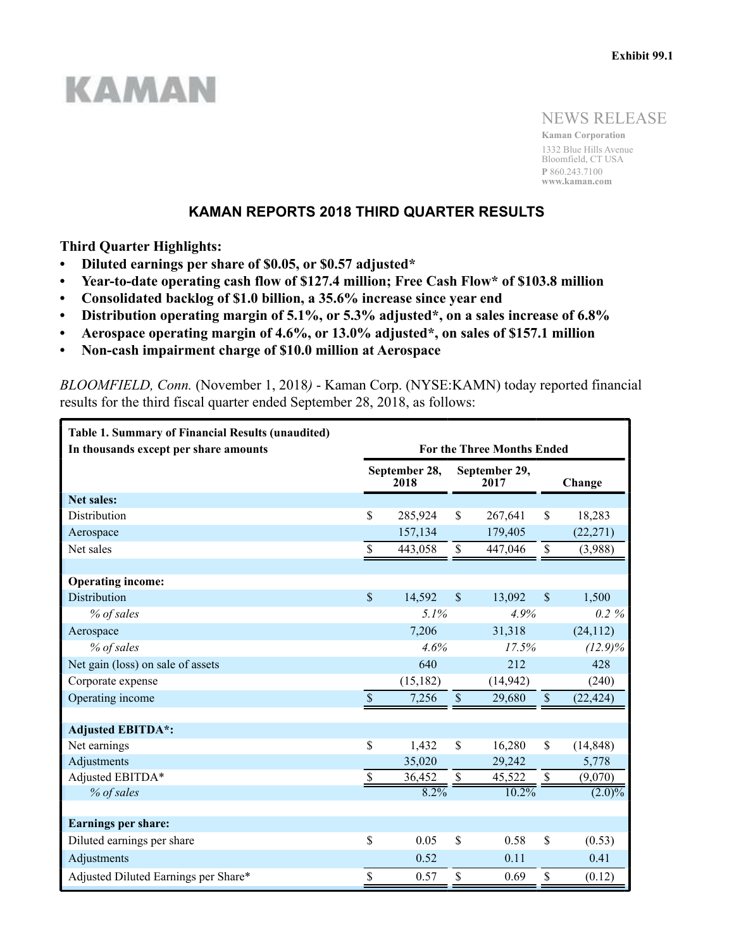# **KAMAN**

NEWS RELEASE

**Kaman Corporation** 1332 Blue Hills Avenue Bloomfield, CT USA **P** 860.243.7100 **www.kaman.com**

## **KAMAN REPORTS 2018 THIRD QUARTER RESULTS**

**Third Quarter Highlights:**

- **Diluted earnings per share of \$0.05, or \$0.57 adjusted\***
- **Year-to-date operating cash flow of \$127.4 million; Free Cash Flow\* of \$103.8 million**
- **Consolidated backlog of \$1.0 billion, a 35.6% increase since year end**
- **Distribution operating margin of 5.1%, or 5.3% adjusted\*, on a sales increase of 6.8%**
- **Aerospace operating margin of 4.6%, or 13.0% adjusted\*, on sales of \$157.1 million**
- **Non-cash impairment charge of \$10.0 million at Aerospace**

*BLOOMFIELD, Conn.* (November 1, 2018*)* - Kaman Corp. (NYSE:KAMN) today reported financial results for the third fiscal quarter ended September 28, 2018, as follows:

| <b>Table 1. Summary of Financial Results (unaudited)</b><br>In thousands except per share amounts | <b>For the Three Months Ended</b> |                       |                    |                       |                           |            |  |  |  |  |
|---------------------------------------------------------------------------------------------------|-----------------------------------|-----------------------|--------------------|-----------------------|---------------------------|------------|--|--|--|--|
|                                                                                                   |                                   | September 28,<br>2018 |                    | September 29,<br>2017 |                           | Change     |  |  |  |  |
| <b>Net sales:</b>                                                                                 |                                   |                       |                    |                       |                           |            |  |  |  |  |
| <b>Distribution</b>                                                                               | \$                                | 285,924               | \$                 | 267,641               | \$                        | 18,283     |  |  |  |  |
| Aerospace                                                                                         |                                   | 157,134               |                    | 179,405               |                           | (22, 271)  |  |  |  |  |
| Net sales                                                                                         | \$                                | 443,058               | $\$$               | 447,046               | \$                        | (3,988)    |  |  |  |  |
|                                                                                                   |                                   |                       |                    |                       |                           |            |  |  |  |  |
| <b>Operating income:</b>                                                                          |                                   |                       |                    |                       |                           |            |  |  |  |  |
| <b>Distribution</b>                                                                               | \$                                | 14,592                | $\mathbf{\hat{S}}$ | 13,092                | $\mathbf S$               | 1,500      |  |  |  |  |
| % of sales                                                                                        |                                   | 5.1%                  |                    | 4.9%                  |                           | $0.2 \%$   |  |  |  |  |
| Aerospace                                                                                         |                                   | 7,206                 |                    | 31,318                |                           | (24, 112)  |  |  |  |  |
| % of sales                                                                                        |                                   | 4.6%                  |                    | 17.5%                 |                           | $(12.9)\%$ |  |  |  |  |
| Net gain (loss) on sale of assets                                                                 |                                   | 640                   |                    | 212                   |                           | 428        |  |  |  |  |
| Corporate expense                                                                                 |                                   | (15, 182)             |                    | (14, 942)             |                           | (240)      |  |  |  |  |
| Operating income                                                                                  | $\overline{\$}$                   | 7,256                 | $\$$               | 29,680                | $\boldsymbol{\mathsf{S}}$ | (22, 424)  |  |  |  |  |
|                                                                                                   |                                   |                       |                    |                       |                           |            |  |  |  |  |
| <b>Adjusted EBITDA*:</b>                                                                          |                                   |                       |                    |                       |                           |            |  |  |  |  |
| Net earnings                                                                                      | \$                                | 1,432                 | \$                 | 16,280                | $\mathbb{S}$              | (14, 848)  |  |  |  |  |
| Adjustments                                                                                       |                                   | 35,020                |                    | 29,242                |                           | 5,778      |  |  |  |  |
| Adjusted EBITDA*                                                                                  | \$                                | 36,452                | \$                 | 45,522                | \$                        | (9,070)    |  |  |  |  |
| % of sales                                                                                        |                                   | 8.2%                  |                    | $10.2\%$              |                           | $(2.0)\%$  |  |  |  |  |
|                                                                                                   |                                   |                       |                    |                       |                           |            |  |  |  |  |
| <b>Earnings per share:</b>                                                                        |                                   |                       |                    |                       |                           |            |  |  |  |  |
| Diluted earnings per share                                                                        | \$                                | 0.05                  | \$                 | 0.58                  | \$                        | (0.53)     |  |  |  |  |
| Adjustments                                                                                       |                                   | 0.52                  |                    | 0.11                  |                           | 0.41       |  |  |  |  |
| Adjusted Diluted Earnings per Share*                                                              | \$                                | 0.57                  | \$                 | 0.69                  | \$                        | (0.12)     |  |  |  |  |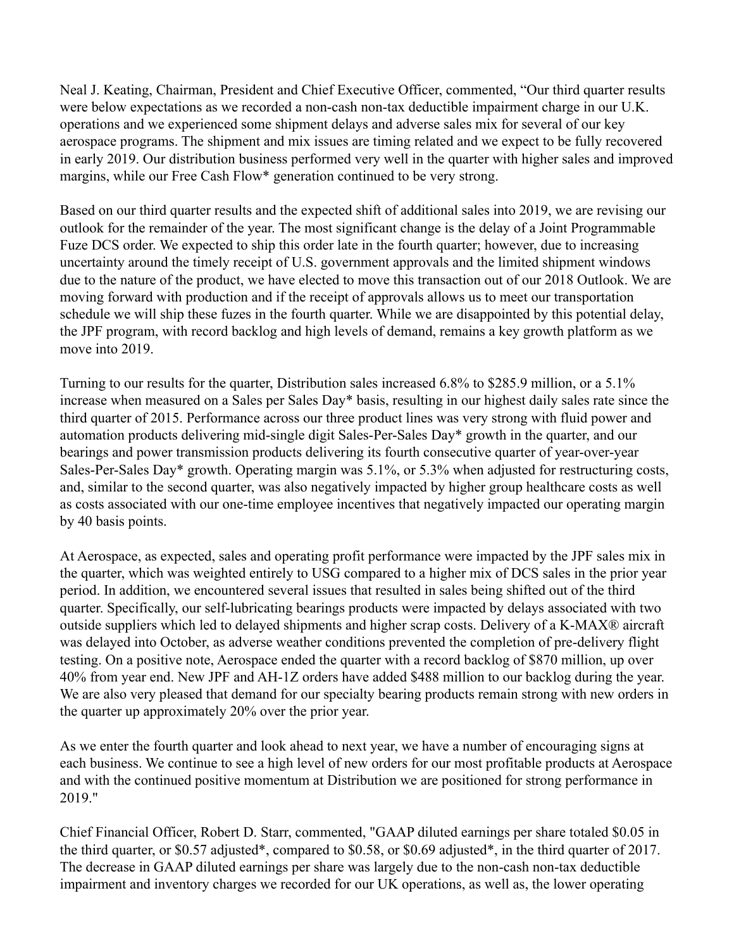Neal J. Keating, Chairman, President and Chief Executive Officer, commented, "Our third quarter results were below expectations as we recorded a non-cash non-tax deductible impairment charge in our U.K. operations and we experienced some shipment delays and adverse sales mix for several of our key aerospace programs. The shipment and mix issues are timing related and we expect to be fully recovered in early 2019. Our distribution business performed very well in the quarter with higher sales and improved margins, while our Free Cash Flow\* generation continued to be very strong.

Based on our third quarter results and the expected shift of additional sales into 2019, we are revising our outlook for the remainder of the year. The most significant change is the delay of a Joint Programmable Fuze DCS order. We expected to ship this order late in the fourth quarter; however, due to increasing uncertainty around the timely receipt of U.S. government approvals and the limited shipment windows due to the nature of the product, we have elected to move this transaction out of our 2018 Outlook. We are moving forward with production and if the receipt of approvals allows us to meet our transportation schedule we will ship these fuzes in the fourth quarter. While we are disappointed by this potential delay, the JPF program, with record backlog and high levels of demand, remains a key growth platform as we move into 2019.

Turning to our results for the quarter, Distribution sales increased 6.8% to \$285.9 million, or a 5.1% increase when measured on a Sales per Sales Day\* basis, resulting in our highest daily sales rate since the third quarter of 2015. Performance across our three product lines was very strong with fluid power and automation products delivering mid-single digit Sales-Per-Sales Day\* growth in the quarter, and our bearings and power transmission products delivering its fourth consecutive quarter of year-over-year Sales-Per-Sales Day\* growth. Operating margin was 5.1%, or 5.3% when adjusted for restructuring costs, and, similar to the second quarter, was also negatively impacted by higher group healthcare costs as well as costs associated with our one-time employee incentives that negatively impacted our operating margin by 40 basis points.

At Aerospace, as expected, sales and operating profit performance were impacted by the JPF sales mix in the quarter, which was weighted entirely to USG compared to a higher mix of DCS sales in the prior year period. In addition, we encountered several issues that resulted in sales being shifted out of the third quarter. Specifically, our self-lubricating bearings products were impacted by delays associated with two outside suppliers which led to delayed shipments and higher scrap costs. Delivery of a K-MAX® aircraft was delayed into October, as adverse weather conditions prevented the completion of pre-delivery flight testing. On a positive note, Aerospace ended the quarter with a record backlog of \$870 million, up over 40% from year end. New JPF and AH-1Z orders have added \$488 million to our backlog during the year. We are also very pleased that demand for our specialty bearing products remain strong with new orders in the quarter up approximately 20% over the prior year.

As we enter the fourth quarter and look ahead to next year, we have a number of encouraging signs at each business. We continue to see a high level of new orders for our most profitable products at Aerospace and with the continued positive momentum at Distribution we are positioned for strong performance in 2019."

Chief Financial Officer, Robert D. Starr, commented, "GAAP diluted earnings per share totaled \$0.05 in the third quarter, or \$0.57 adjusted\*, compared to \$0.58, or \$0.69 adjusted\*, in the third quarter of 2017. The decrease in GAAP diluted earnings per share was largely due to the non-cash non-tax deductible impairment and inventory charges we recorded for our UK operations, as well as, the lower operating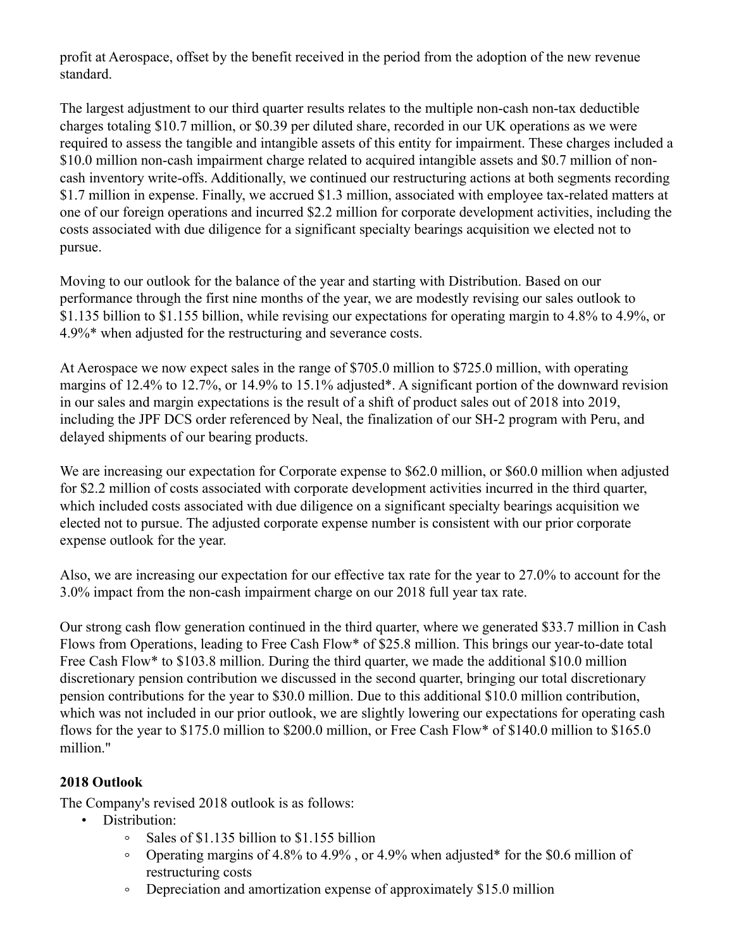profit at Aerospace, offset by the benefit received in the period from the adoption of the new revenue standard.

The largest adjustment to our third quarter results relates to the multiple non-cash non-tax deductible charges totaling \$10.7 million, or \$0.39 per diluted share, recorded in our UK operations as we were required to assess the tangible and intangible assets of this entity for impairment. These charges included a \$10.0 million non-cash impairment charge related to acquired intangible assets and \$0.7 million of noncash inventory write-offs. Additionally, we continued our restructuring actions at both segments recording \$1.7 million in expense. Finally, we accrued \$1.3 million, associated with employee tax-related matters at one of our foreign operations and incurred \$2.2 million for corporate development activities, including the costs associated with due diligence for a significant specialty bearings acquisition we elected not to pursue.

Moving to our outlook for the balance of the year and starting with Distribution. Based on our performance through the first nine months of the year, we are modestly revising our sales outlook to \$1.135 billion to \$1.155 billion, while revising our expectations for operating margin to 4.8% to 4.9%, or 4.9%\* when adjusted for the restructuring and severance costs.

At Aerospace we now expect sales in the range of \$705.0 million to \$725.0 million, with operating margins of 12.4% to 12.7%, or 14.9% to 15.1% adjusted\*. A significant portion of the downward revision in our sales and margin expectations is the result of a shift of product sales out of 2018 into 2019, including the JPF DCS order referenced by Neal, the finalization of our SH-2 program with Peru, and delayed shipments of our bearing products.

We are increasing our expectation for Corporate expense to \$62.0 million, or \$60.0 million when adjusted for \$2.2 million of costs associated with corporate development activities incurred in the third quarter, which included costs associated with due diligence on a significant specialty bearings acquisition we elected not to pursue. The adjusted corporate expense number is consistent with our prior corporate expense outlook for the year.

Also, we are increasing our expectation for our effective tax rate for the year to 27.0% to account for the 3.0% impact from the non-cash impairment charge on our 2018 full year tax rate.

Our strong cash flow generation continued in the third quarter, where we generated \$33.7 million in Cash Flows from Operations, leading to Free Cash Flow\* of \$25.8 million. This brings our year-to-date total Free Cash Flow\* to \$103.8 million. During the third quarter, we made the additional \$10.0 million discretionary pension contribution we discussed in the second quarter, bringing our total discretionary pension contributions for the year to \$30.0 million. Due to this additional \$10.0 million contribution, which was not included in our prior outlook, we are slightly lowering our expectations for operating cash flows for the year to \$175.0 million to \$200.0 million, or Free Cash Flow\* of \$140.0 million to \$165.0 million."

# **2018 Outlook**

The Company's revised 2018 outlook is as follows:

- Distribution:
	- $\sim$ Sales of \$1.135 billion to \$1.155 billion
	- $\circ$ Operating margins of 4.8% to 4.9% , or 4.9% when adjusted\* for the \$0.6 million of restructuring costs
	- $\circ$ Depreciation and amortization expense of approximately \$15.0 million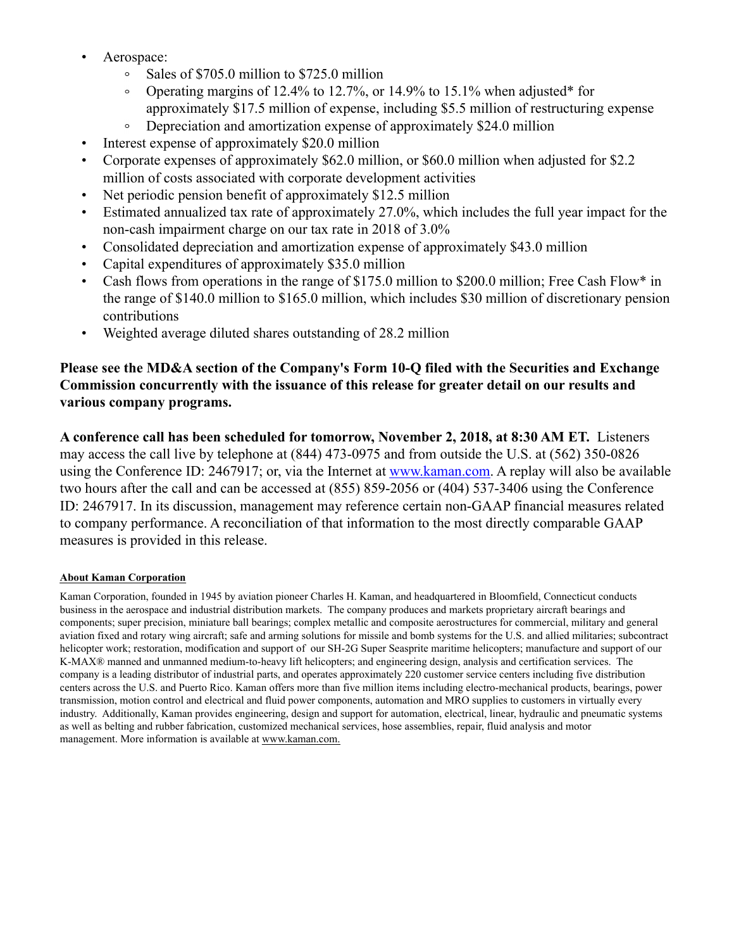- Aerospace:
	- Sales of \$705.0 million to \$725.0 million  $\circ$
	- Operating margins of 12.4% to 12.7%, or 14.9% to 15.1% when adjusted\* for  $\circ$ approximately \$17.5 million of expense, including \$5.5 million of restructuring expense
	- Depreciation and amortization expense of approximately \$24.0 million
- Interest expense of approximately \$20.0 million
- Corporate expenses of approximately \$62.0 million, or \$60.0 million when adjusted for \$2.2 million of costs associated with corporate development activities
- Net periodic pension benefit of approximately \$12.5 million
- Estimated annualized tax rate of approximately 27.0%, which includes the full year impact for the non-cash impairment charge on our tax rate in 2018 of 3.0%
- Consolidated depreciation and amortization expense of approximately \$43.0 million
- Capital expenditures of approximately \$35.0 million
- Cash flows from operations in the range of \$175.0 million to \$200.0 million; Free Cash Flow\* in the range of \$140.0 million to \$165.0 million, which includes \$30 million of discretionary pension contributions
- Weighted average diluted shares outstanding of 28.2 million

# **Please see the MD&A section of the Company's Form 10-Q filed with the Securities and Exchange Commission concurrently with the issuance of this release for greater detail on our results and various company programs.**

**A conference call has been scheduled for tomorrow, November 2, 2018, at 8:30 AM ET.** Listeners may access the call live by telephone at (844) 473-0975 and from outside the U.S. at (562) 350-0826 using the Conference ID: 2467917; or, via the Internet at www.kaman.com. A replay will also be available two hours after the call and can be accessed at (855) 859-2056 or (404) 537-3406 using the Conference ID: 2467917. In its discussion, management may reference certain non-GAAP financial measures related to company performance. A reconciliation of that information to the most directly comparable GAAP measures is provided in this release.

# **About Kaman Corporation**

Kaman Corporation, founded in 1945 by aviation pioneer Charles H. Kaman, and headquartered in Bloomfield, Connecticut conducts business in the aerospace and industrial distribution markets. The company produces and markets proprietary aircraft bearings and components; super precision, miniature ball bearings; complex metallic and composite aerostructures for commercial, military and general aviation fixed and rotary wing aircraft; safe and arming solutions for missile and bomb systems for the U.S. and allied militaries; subcontract helicopter work; restoration, modification and support of our SH-2G Super Seasprite maritime helicopters; manufacture and support of our K-MAX® manned and unmanned medium-to-heavy lift helicopters; and engineering design, analysis and certification services. The company is a leading distributor of industrial parts, and operates approximately 220 customer service centers including five distribution centers across the U.S. and Puerto Rico. Kaman offers more than five million items including electro-mechanical products, bearings, power transmission, motion control and electrical and fluid power components, automation and MRO supplies to customers in virtually every industry. Additionally, Kaman provides engineering, design and support for automation, electrical, linear, hydraulic and pneumatic systems as well as belting and rubber fabrication, customized mechanical services, hose assemblies, repair, fluid analysis and motor management. More information is available at www.kaman.com.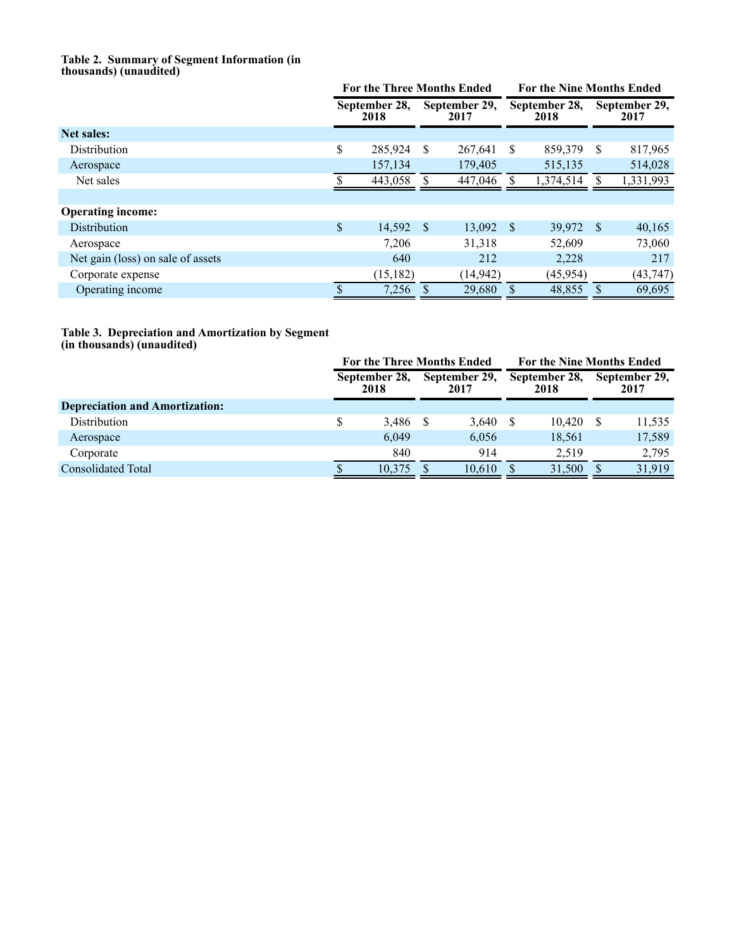#### **Table 2. Summary of Segment Information (in thousands) (unaudited)**

|                                   | <b>For the Three Months Ended</b> |      | <b>For the Nine Months Ended</b> |   |                       |    |                       |
|-----------------------------------|-----------------------------------|------|----------------------------------|---|-----------------------|----|-----------------------|
|                                   | September 28,<br>2018             |      | September 29,<br>2017            |   | September 28,<br>2018 |    | September 29,<br>2017 |
| <b>Net sales:</b>                 |                                   |      |                                  |   |                       |    |                       |
| Distribution                      | \$<br>285,924                     | S    | 267,641                          | S | 859,379               | S  | 817,965               |
| Aerospace                         | 157,134                           |      | 179,405                          |   | 515,135               |    | 514,028               |
| Net sales                         | 443,058                           |      | 447,046                          |   | 1,374,514             |    | 1,331,993             |
|                                   |                                   |      |                                  |   |                       |    |                       |
| <b>Operating income:</b>          |                                   |      |                                  |   |                       |    |                       |
| <b>Distribution</b>               | \$<br>14,592                      | - \$ | $13,092$ \$                      |   | 39,972                | -S | 40,165                |
| Aerospace                         | 7,206                             |      | 31,318                           |   | 52,609                |    | 73,060                |
| Net gain (loss) on sale of assets | 640                               |      | 212                              |   | 2,228                 |    | 217                   |
| Corporate expense                 | (15, 182)                         |      | (14, 942)                        |   | (45, 954)             |    | (43, 747)             |
| Operating income                  | 7,256                             |      | 29,680                           |   | 48,855                |    | 69,695                |

# **Table 3. Depreciation and Amortization by Segment**

**(in thousands) (unaudited)**

|                                       |                       | <b>For the Three Months Ended</b> |                       | <b>For the Nine Months Ended</b> |                       |        |  |                       |
|---------------------------------------|-----------------------|-----------------------------------|-----------------------|----------------------------------|-----------------------|--------|--|-----------------------|
|                                       | September 28,<br>2018 |                                   | September 29,<br>2017 |                                  | September 28,<br>2018 |        |  | September 29,<br>2017 |
| <b>Depreciation and Amortization:</b> |                       |                                   |                       |                                  |                       |        |  |                       |
| Distribution                          | \$                    | 3.486                             |                       | 3,640                            |                       | 10,420 |  | 11,535                |
| Aerospace                             |                       | 6,049                             |                       | 6,056                            |                       | 18,561 |  | 17,589                |
| Corporate                             |                       | 840                               |                       | 914                              |                       | 2.519  |  | 2,795                 |
| <b>Consolidated Total</b>             |                       | 10.375                            |                       | 10.610                           |                       | 31,500 |  | 31.919                |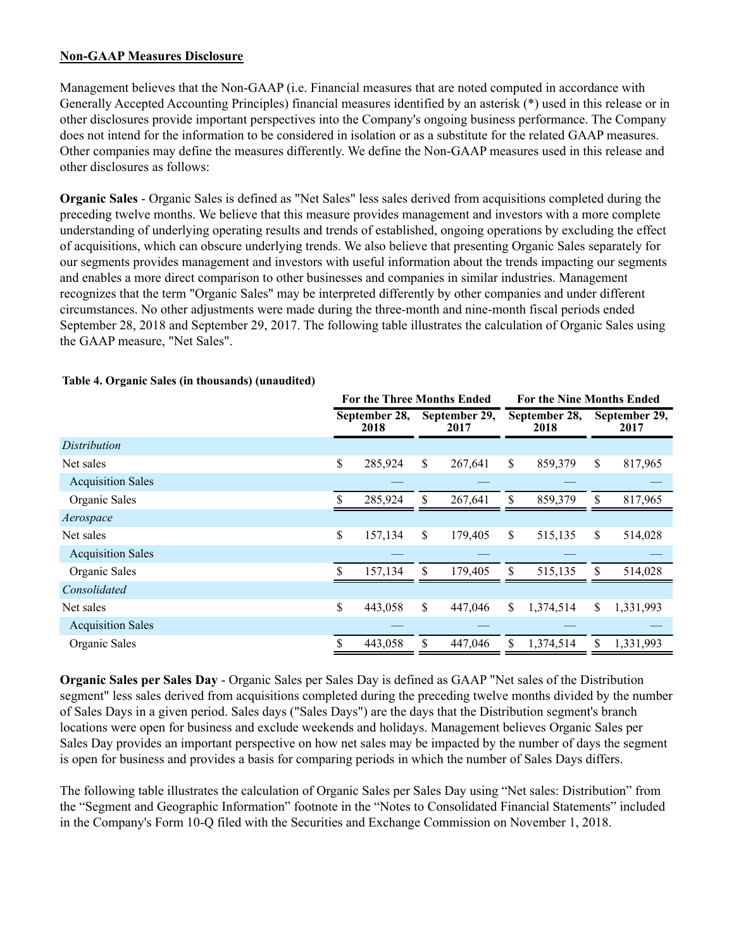## **Non-GAAP Measures Disclosure**

Management believes that the Non-GAAP (i.e. Financial measures that are noted computed in accordance with Generally Accepted Accounting Principles) financial measures identified by an asterisk (\*) used in this release or in other disclosures provide important perspectives into the Company's ongoing business performance. The Company does not intend for the information to be considered in isolation or as a substitute for the related GAAP measures. Other companies may define the measures differently. We define the Non-GAAP measures used in this release and other disclosures as follows:

**Organic Sales** - Organic Sales is defined as "Net Sales" less sales derived from acquisitions completed during the preceding twelve months. We believe that this measure provides management and investors with a more complete understanding of underlying operating results and trends of established, ongoing operations by excluding the effect of acquisitions, which can obscure underlying trends. We also believe that presenting Organic Sales separately for our segments provides management and investors with useful information about the trends impacting our segments and enables a more direct comparison to other businesses and companies in similar industries. Management recognizes that the term "Organic Sales" may be interpreted differently by other companies and under different circumstances. No other adjustments were made during the three-month and nine-month fiscal periods ended September 28, 2018 and September 29, 2017. The following table illustrates the calculation of Organic Sales using the GAAP measure, "Net Sales".

|                          | <b>For the Three Months Ended</b> |         |                       |         |                       | <b>For the Nine Months Ended</b> |     |                       |  |  |
|--------------------------|-----------------------------------|---------|-----------------------|---------|-----------------------|----------------------------------|-----|-----------------------|--|--|
|                          | September 28,<br>2018             |         | September 29,<br>2017 |         | September 28,<br>2018 |                                  |     | September 29,<br>2017 |  |  |
| Distribution             |                                   |         |                       |         |                       |                                  |     |                       |  |  |
| Net sales                | \$                                | 285,924 | \$                    | 267,641 | \$                    | 859,379                          | \$  | 817,965               |  |  |
| <b>Acquisition Sales</b> |                                   |         |                       |         |                       |                                  |     |                       |  |  |
| Organic Sales            |                                   | 285,924 | \$                    | 267,641 | \$                    | 859,379                          | \$. | 817,965               |  |  |
| Aerospace                |                                   |         |                       |         |                       |                                  |     |                       |  |  |
| Net sales                | \$                                | 157,134 | \$                    | 179,405 | \$                    | 515,135                          | \$  | 514,028               |  |  |
| <b>Acquisition Sales</b> |                                   |         |                       |         |                       |                                  |     |                       |  |  |
| Organic Sales            | S                                 | 157,134 | \$                    | 179,405 | \$                    | 515,135                          | \$  | 514,028               |  |  |
| Consolidated             |                                   |         |                       |         |                       |                                  |     |                       |  |  |
| Net sales                | \$                                | 443,058 | \$                    | 447,046 | \$                    | 1,374,514                        | \$  | 1,331,993             |  |  |
| <b>Acquisition Sales</b> |                                   |         |                       |         |                       |                                  |     |                       |  |  |
| Organic Sales            | \$                                | 443,058 | \$                    | 447,046 | S.                    | 1,374,514                        | \$  | 1,331,993             |  |  |

## **Table 4. Organic Sales (in thousands) (unaudited)**

**Organic Sales per Sales Day** - Organic Sales per Sales Day is defined as GAAP "Net sales of the Distribution segment" less sales derived from acquisitions completed during the preceding twelve months divided by the number of Sales Days in a given period. Sales days ("Sales Days") are the days that the Distribution segment's branch locations were open for business and exclude weekends and holidays. Management believes Organic Sales per Sales Day provides an important perspective on how net sales may be impacted by the number of days the segment is open for business and provides a basis for comparing periods in which the number of Sales Days differs.

The following table illustrates the calculation of Organic Sales per Sales Day using "Net sales: Distribution" from the "Segment and Geographic Information" footnote in the "Notes to Consolidated Financial Statements" included in the Company's Form 10-Q filed with the Securities and Exchange Commission on November 1, 2018.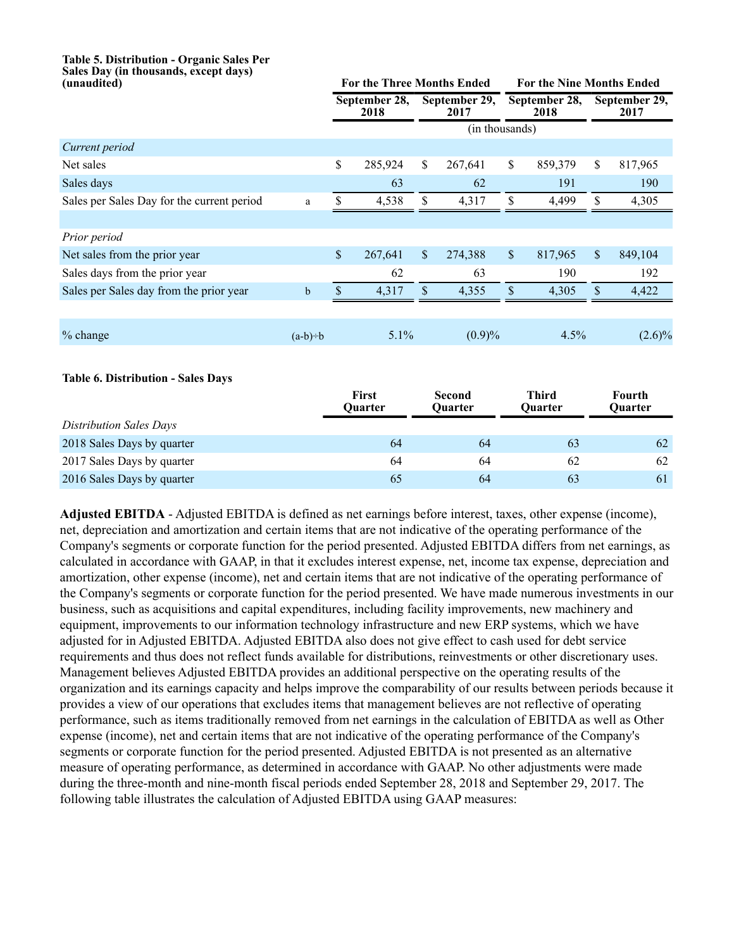# **Table 5. Distribution - Organic Sales Per Sales Day (in thousands, except days)**

| (unaudited)                                |             |                       |                         | <b>For the Three Months Ended</b> |                          |                       | For the Nine Months Ended |                           |                          |  |
|--------------------------------------------|-------------|-----------------------|-------------------------|-----------------------------------|--------------------------|-----------------------|---------------------------|---------------------------|--------------------------|--|
|                                            |             | September 28,<br>2018 |                         | September 29,<br>2017             |                          | September 28,<br>2018 |                           | September 29,<br>2017     |                          |  |
|                                            |             |                       |                         |                                   | (in thousands)           |                       |                           |                           |                          |  |
| Current period                             |             |                       |                         |                                   |                          |                       |                           |                           |                          |  |
| Net sales                                  |             | \$                    | 285,924                 | $\mathbf S$                       | 267,641                  | \$                    | 859,379                   | \$                        | 817,965                  |  |
| Sales days                                 |             |                       | 63                      |                                   | 62                       |                       | 191                       |                           | 190                      |  |
| Sales per Sales Day for the current period | a           | $\mathbb S$           | 4,538                   | $\mathbb S$                       | 4,317                    | $\mathbb S$           | 4,499                     | \$                        | 4,305                    |  |
|                                            |             |                       |                         |                                   |                          |                       |                           |                           |                          |  |
| Prior period                               |             |                       |                         |                                   |                          |                       |                           |                           |                          |  |
| Net sales from the prior year              |             | \$                    | 267,641                 | $\boldsymbol{\mathsf{S}}$         | 274,388                  | $\sqrt{\ }$           | 817,965                   | $\boldsymbol{\mathsf{S}}$ | 849,104                  |  |
| Sales days from the prior year             |             |                       | 62                      |                                   | 63                       |                       | 190                       |                           | 192                      |  |
| Sales per Sales day from the prior year    | $\mathbf b$ | $\mathbf{\hat{S}}$    | 4,317                   | $\$$                              | 4,355                    | \$                    | 4,305                     | \$                        | 4,422                    |  |
|                                            |             |                       |                         |                                   |                          |                       |                           |                           |                          |  |
| % change                                   | $(a-b)=b$   |                       | 5.1%                    |                                   | $(0.9)\%$                |                       | 4.5%                      |                           | $(2.6)\%$                |  |
|                                            |             |                       |                         |                                   |                          |                       |                           |                           |                          |  |
| <b>Table 6. Distribution - Sales Days</b>  |             |                       |                         |                                   |                          |                       |                           |                           |                          |  |
|                                            |             |                       | <b>First</b><br>Quarter |                                   | <b>Second</b><br>Quarter |                       | <b>Third</b><br>Quarter   |                           | <b>Fourth</b><br>Quarter |  |
| <b>Distribution Sales Days</b>             |             |                       |                         |                                   |                          |                       |                           |                           |                          |  |
| 2018 Sales Days by quarter                 |             |                       | 64                      |                                   | 64                       |                       | 63                        |                           | 62                       |  |
| 2017 Sales Days by quarter                 |             |                       | 64                      |                                   | 64                       |                       | 62                        |                           | 62                       |  |

**Adjusted EBITDA** - Adjusted EBITDA is defined as net earnings before interest, taxes, other expense (income), net, depreciation and amortization and certain items that are not indicative of the operating performance of the Company's segments or corporate function for the period presented. Adjusted EBITDA differs from net earnings, as calculated in accordance with GAAP, in that it excludes interest expense, net, income tax expense, depreciation and amortization, other expense (income), net and certain items that are not indicative of the operating performance of the Company's segments or corporate function for the period presented. We have made numerous investments in our business, such as acquisitions and capital expenditures, including facility improvements, new machinery and equipment, improvements to our information technology infrastructure and new ERP systems, which we have adjusted for in Adjusted EBITDA. Adjusted EBITDA also does not give effect to cash used for debt service requirements and thus does not reflect funds available for distributions, reinvestments or other discretionary uses. Management believes Adjusted EBITDA provides an additional perspective on the operating results of the organization and its earnings capacity and helps improve the comparability of our results between periods because it provides a view of our operations that excludes items that management believes are not reflective of operating performance, such as items traditionally removed from net earnings in the calculation of EBITDA as well as Other expense (income), net and certain items that are not indicative of the operating performance of the Company's segments or corporate function for the period presented. Adjusted EBITDA is not presented as an alternative measure of operating performance, as determined in accordance with GAAP. No other adjustments were made during the three-month and nine-month fiscal periods ended September 28, 2018 and September 29, 2017. The following table illustrates the calculation of Adjusted EBITDA using GAAP measures:

2016 Sales Days by quarter 65 64 63 63 61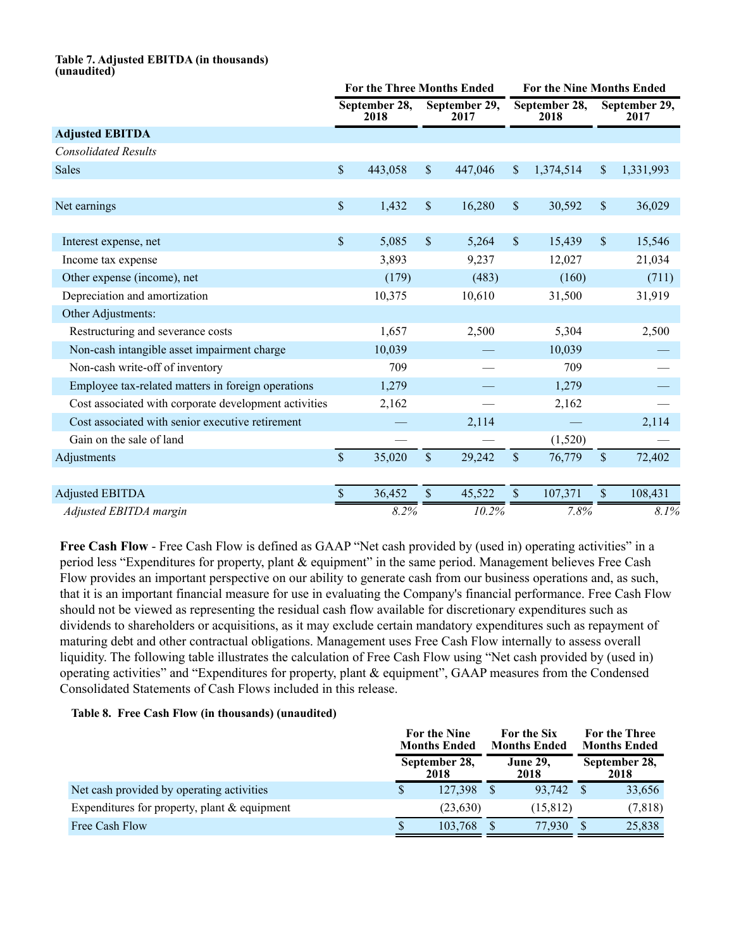#### **Table 7. Adjusted EBITDA (in thousands) (unaudited)**

|                                                       | <b>For the Three Months Ended</b> |                       |                           |                       |                       | <b>For the Nine Months Ended</b> |               |                       |  |  |
|-------------------------------------------------------|-----------------------------------|-----------------------|---------------------------|-----------------------|-----------------------|----------------------------------|---------------|-----------------------|--|--|
|                                                       |                                   | September 28,<br>2018 |                           | September 29,<br>2017 | September 28,<br>2018 |                                  |               | September 29,<br>2017 |  |  |
| <b>Adjusted EBITDA</b>                                |                                   |                       |                           |                       |                       |                                  |               |                       |  |  |
| <b>Consolidated Results</b>                           |                                   |                       |                           |                       |                       |                                  |               |                       |  |  |
| <b>Sales</b>                                          | $\mathsf{\$}$                     | 443,058               | $\boldsymbol{\mathsf{S}}$ | 447,046               | $\mathbb{S}$          | 1,374,514                        | \$            | 1,331,993             |  |  |
|                                                       |                                   |                       |                           |                       |                       |                                  |               |                       |  |  |
| Net earnings                                          | $\mathbb S$                       | 1,432                 | \$                        | 16,280                | $\mathsf{\$}$         | 30,592                           | $\mathsf{\$}$ | 36,029                |  |  |
|                                                       |                                   |                       |                           |                       |                       |                                  |               |                       |  |  |
| Interest expense, net                                 | $\mathbb S$                       | 5,085                 | \$                        | 5,264                 | $\mathcal{S}$         | 15,439                           | $\mathbb{S}$  | 15,546                |  |  |
| Income tax expense                                    |                                   | 3,893                 |                           | 9,237                 |                       | 12,027                           |               | 21,034                |  |  |
| Other expense (income), net                           |                                   | (179)                 |                           | (483)                 |                       | (160)                            |               | (711)                 |  |  |
| Depreciation and amortization                         |                                   | 10,375                |                           | 10,610                |                       | 31,500                           |               | 31,919                |  |  |
| Other Adjustments:                                    |                                   |                       |                           |                       |                       |                                  |               |                       |  |  |
| Restructuring and severance costs                     |                                   | 1,657                 |                           | 2,500                 |                       | 5,304                            |               | 2,500                 |  |  |
| Non-cash intangible asset impairment charge           |                                   | 10,039                |                           |                       |                       | 10,039                           |               |                       |  |  |
| Non-cash write-off of inventory                       |                                   | 709                   |                           |                       |                       | 709                              |               |                       |  |  |
| Employee tax-related matters in foreign operations    |                                   | 1,279                 |                           |                       |                       | 1,279                            |               |                       |  |  |
| Cost associated with corporate development activities |                                   | 2,162                 |                           |                       |                       | 2,162                            |               |                       |  |  |
| Cost associated with senior executive retirement      |                                   |                       |                           | 2,114                 |                       |                                  |               | 2,114                 |  |  |
| Gain on the sale of land                              |                                   |                       |                           |                       |                       | (1,520)                          |               |                       |  |  |
| Adjustments                                           | $\mathsf{\$}$                     | 35,020                | $\mathbf{\hat{S}}$        | 29,242                | $\mathsf{\$}$         | 76,779                           | $\mathsf{\$}$ | 72,402                |  |  |
|                                                       |                                   |                       |                           |                       |                       |                                  |               |                       |  |  |
| <b>Adjusted EBITDA</b>                                | \$                                | 36,452                | \$                        | 45,522                | \$                    | 107,371                          | \$            | 108,431               |  |  |
| Adjusted EBITDA margin                                |                                   | 8.2%                  |                           | 10.2%                 |                       | 7.8%                             |               | 8.1%                  |  |  |

**Free Cash Flow** - Free Cash Flow is defined as GAAP "Net cash provided by (used in) operating activities" in a period less "Expenditures for property, plant & equipment" in the same period. Management believes Free Cash Flow provides an important perspective on our ability to generate cash from our business operations and, as such, that it is an important financial measure for use in evaluating the Company's financial performance. Free Cash Flow should not be viewed as representing the residual cash flow available for discretionary expenditures such as dividends to shareholders or acquisitions, as it may exclude certain mandatory expenditures such as repayment of maturing debt and other contractual obligations. Management uses Free Cash Flow internally to assess overall liquidity. The following table illustrates the calculation of Free Cash Flow using "Net cash provided by (used in) operating activities" and "Expenditures for property, plant & equipment", GAAP measures from the Condensed Consolidated Statements of Cash Flows included in this release.

#### **Table 8. Free Cash Flow (in thousands) (unaudited)**

|                                                 | For the Nine<br><b>Months Ended</b><br>September 28,<br>2018 |           |  | For the Six<br><b>Months Ended</b> |                       | For the Three<br><b>Months Ended</b> |
|-------------------------------------------------|--------------------------------------------------------------|-----------|--|------------------------------------|-----------------------|--------------------------------------|
|                                                 |                                                              |           |  | <b>June 29,</b><br>2018            | September 28,<br>2018 |                                      |
| Net cash provided by operating activities       |                                                              | 127.398   |  | 93.742                             |                       | 33,656                               |
| Expenditures for property, plant $\&$ equipment |                                                              | (23, 630) |  | (15, 812)                          |                       | (7, 818)                             |
| Free Cash Flow                                  |                                                              | 103,768   |  | 77.930                             |                       | 25,838                               |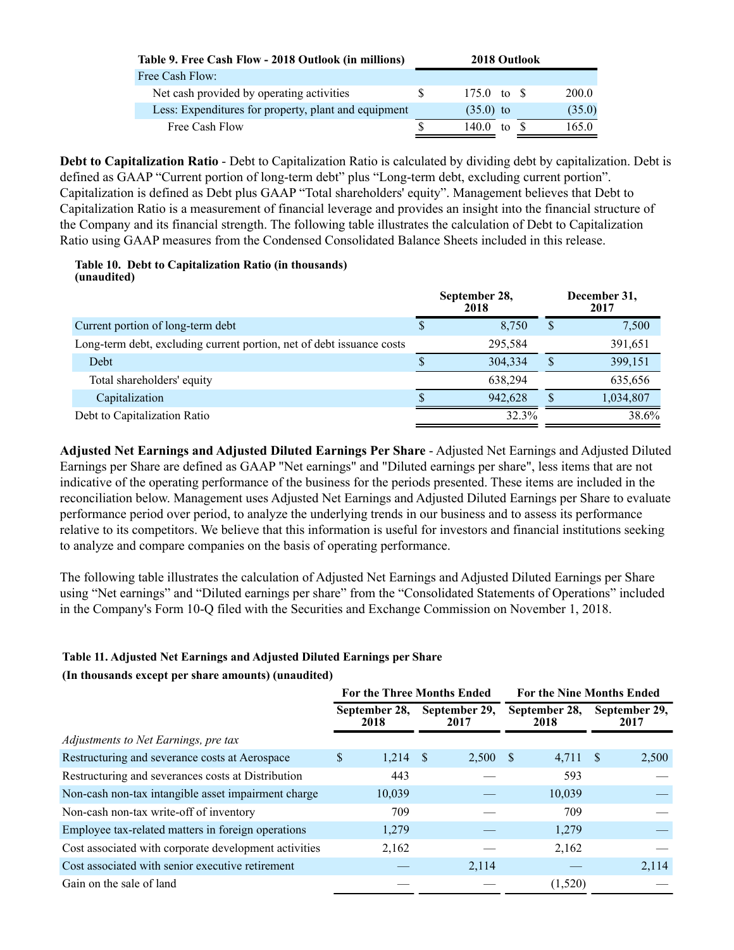| Table 9. Free Cash Flow - 2018 Outlook (in millions) | 2018 Outlook |                      |       |  |        |
|------------------------------------------------------|--------------|----------------------|-------|--|--------|
| Free Cash Flow:                                      |              |                      |       |  |        |
| Net cash provided by operating activities            | S.           | 175.0 to $\text{\$}$ |       |  | 200.0  |
| Less: Expenditures for property, plant and equipment |              | $(35.0)$ to          |       |  | (35.0) |
| Free Cash Flow                                       |              | 140 0                | to \$ |  | 165.0  |

**Debt to Capitalization Ratio** - Debt to Capitalization Ratio is calculated by dividing debt by capitalization. Debt is defined as GAAP "Current portion of long-term debt" plus "Long-term debt, excluding current portion". Capitalization is defined as Debt plus GAAP "Total shareholders' equity". Management believes that Debt to Capitalization Ratio is a measurement of financial leverage and provides an insight into the financial structure of the Company and its financial strength. The following table illustrates the calculation of Debt to Capitalization Ratio using GAAP measures from the Condensed Consolidated Balance Sheets included in this release.

#### **Table 10. Debt to Capitalization Ratio (in thousands) (unaudited)**

|                                                                       |   | September 28,<br>2018 |   | December 31,<br>2017 |
|-----------------------------------------------------------------------|---|-----------------------|---|----------------------|
| Current portion of long-term debt                                     | D | 8.750                 | S | 7,500                |
| Long-term debt, excluding current portion, net of debt issuance costs |   | 295,584               |   | 391,651              |
| Debt                                                                  |   | 304,334               |   | 399,151              |
| Total shareholders' equity                                            |   | 638.294               |   | 635,656              |
| Capitalization                                                        |   | 942.628               |   | 1,034,807            |
| Debt to Capitalization Ratio                                          |   | 32.3%                 |   | 38.6%                |

**Adjusted Net Earnings and Adjusted Diluted Earnings Per Share** - Adjusted Net Earnings and Adjusted Diluted Earnings per Share are defined as GAAP "Net earnings" and "Diluted earnings per share", less items that are not indicative of the operating performance of the business for the periods presented. These items are included in the reconciliation below. Management uses Adjusted Net Earnings and Adjusted Diluted Earnings per Share to evaluate performance period over period, to analyze the underlying trends in our business and to assess its performance relative to its competitors. We believe that this information is useful for investors and financial institutions seeking to analyze and compare companies on the basis of operating performance.

The following table illustrates the calculation of Adjusted Net Earnings and Adjusted Diluted Earnings per Share using "Net earnings" and "Diluted earnings per share" from the "Consolidated Statements of Operations" included in the Company's Form 10-Q filed with the Securities and Exchange Commission on November 1, 2018.

# **Table 11. Adjusted Net Earnings and Adjusted Diluted Earnings per Share**

## **(In thousands except per share amounts) (unaudited)**

|                                                       |                       | <b>For the Three Months Ended</b> |                       | <b>For the Nine Months Ended</b> |
|-------------------------------------------------------|-----------------------|-----------------------------------|-----------------------|----------------------------------|
|                                                       | September 28,<br>2018 | September 29,<br>2017             | September 28,<br>2018 | September 29,<br>2017            |
| Adjustments to Net Earnings, pre tax                  |                       |                                   |                       |                                  |
| Restructuring and severance costs at Aerospace        | 1,214<br>S            | 2,500 \$<br>- \$                  | 4,711                 | 2,500<br>-S                      |
| Restructuring and severances costs at Distribution    | 443                   |                                   | 593                   |                                  |
| Non-cash non-tax intangible asset impairment charge   | 10,039                |                                   | 10,039                |                                  |
| Non-cash non-tax write-off of inventory               | 709                   |                                   | 709                   |                                  |
| Employee tax-related matters in foreign operations    | 1,279                 |                                   | 1,279                 |                                  |
| Cost associated with corporate development activities | 2,162                 |                                   | 2,162                 |                                  |
| Cost associated with senior executive retirement      |                       | 2,114                             |                       | 2,114                            |
| Gain on the sale of land                              |                       |                                   | (1,520)               |                                  |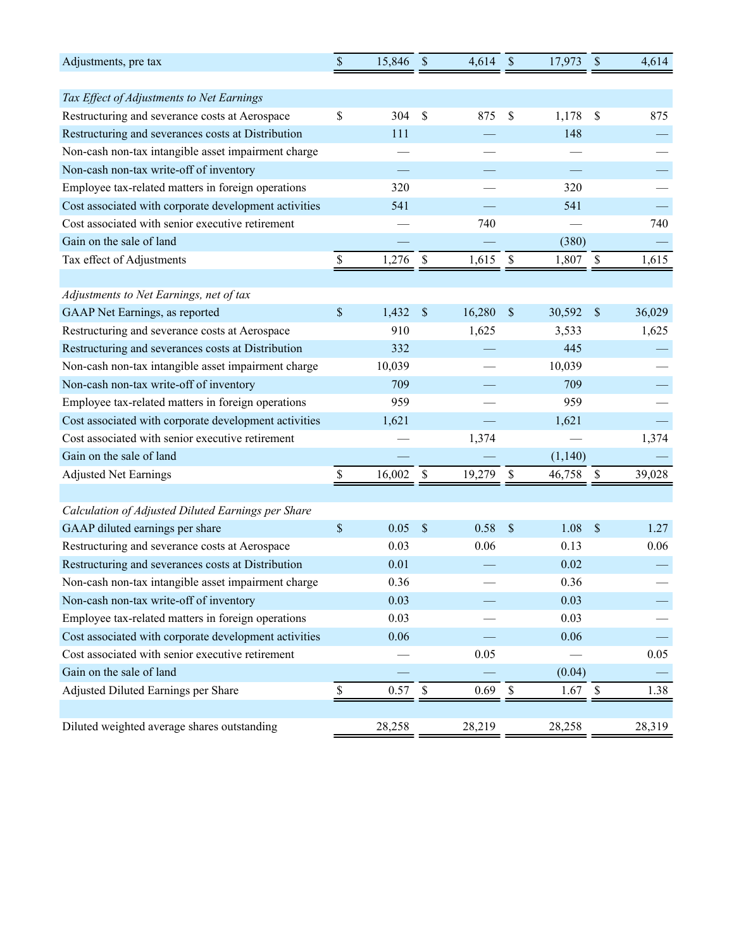| Adjustments, pre tax                                  | $\boldsymbol{\$}$         | 15,846 | $\mathbb{S}$              | 4,614  | \$                        | 17,973  | $\$$                      | 4,614  |
|-------------------------------------------------------|---------------------------|--------|---------------------------|--------|---------------------------|---------|---------------------------|--------|
|                                                       |                           |        |                           |        |                           |         |                           |        |
| Tax Effect of Adjustments to Net Earnings             |                           |        |                           |        |                           |         |                           |        |
| Restructuring and severance costs at Aerospace        | \$                        | 304    | \$                        | 875    | \$                        | 1,178   | \$                        | 875    |
| Restructuring and severances costs at Distribution    |                           | 111    |                           |        |                           | 148     |                           |        |
| Non-cash non-tax intangible asset impairment charge   |                           |        |                           |        |                           |         |                           |        |
| Non-cash non-tax write-off of inventory               |                           |        |                           |        |                           |         |                           |        |
| Employee tax-related matters in foreign operations    |                           | 320    |                           |        |                           | 320     |                           |        |
| Cost associated with corporate development activities |                           | 541    |                           |        |                           | 541     |                           |        |
| Cost associated with senior executive retirement      |                           |        |                           | 740    |                           |         |                           | 740    |
| Gain on the sale of land                              |                           |        |                           |        |                           | (380)   |                           |        |
| Tax effect of Adjustments                             | \$                        | 1,276  | \$                        | 1,615  | \$                        | 1,807   | \$                        | 1,615  |
|                                                       |                           |        |                           |        |                           |         |                           |        |
| Adjustments to Net Earnings, net of tax               |                           |        |                           |        |                           |         |                           |        |
| GAAP Net Earnings, as reported                        | $\boldsymbol{\mathsf{S}}$ | 1,432  | $\boldsymbol{\mathsf{S}}$ | 16,280 | $\mathcal{S}$             | 30,592  | $\boldsymbol{\mathsf{S}}$ | 36,029 |
| Restructuring and severance costs at Aerospace        |                           | 910    |                           | 1,625  |                           | 3,533   |                           | 1,625  |
| Restructuring and severances costs at Distribution    |                           | 332    |                           |        |                           | 445     |                           |        |
| Non-cash non-tax intangible asset impairment charge   |                           | 10,039 |                           |        |                           | 10,039  |                           |        |
| Non-cash non-tax write-off of inventory               |                           | 709    |                           |        |                           | 709     |                           |        |
| Employee tax-related matters in foreign operations    |                           | 959    |                           |        |                           | 959     |                           |        |
| Cost associated with corporate development activities |                           | 1,621  |                           |        |                           | 1,621   |                           |        |
| Cost associated with senior executive retirement      |                           |        |                           | 1,374  |                           |         |                           | 1,374  |
| Gain on the sale of land                              |                           |        |                           |        |                           | (1,140) |                           |        |
| <b>Adjusted Net Earnings</b>                          | \$                        | 16,002 | \$                        | 19,279 | $\boldsymbol{\mathsf{S}}$ | 46,758  | $\boldsymbol{\mathsf{S}}$ | 39,028 |
|                                                       |                           |        |                           |        |                           |         |                           |        |
| Calculation of Adjusted Diluted Earnings per Share    |                           |        |                           |        |                           |         |                           |        |
| GAAP diluted earnings per share                       | \$                        | 0.05   | $\mathbb{S}$              | 0.58   | \$                        | 1.08    | $\boldsymbol{\mathsf{S}}$ | 1.27   |
| Restructuring and severance costs at Aerospace        |                           | 0.03   |                           | 0.06   |                           | 0.13    |                           | 0.06   |
| Restructuring and severances costs at Distribution    |                           | 0.01   |                           |        |                           | 0.02    |                           |        |
| Non-cash non-tax intangible asset impairment charge   |                           | 0.36   |                           |        |                           | 0.36    |                           |        |
| Non-cash non-tax write-off of inventory               |                           | 0.03   |                           |        |                           | 0.03    |                           |        |
| Employee tax-related matters in foreign operations    |                           | 0.03   |                           |        |                           | 0.03    |                           |        |
| Cost associated with corporate development activities |                           | 0.06   |                           |        |                           | 0.06    |                           |        |
| Cost associated with senior executive retirement      |                           |        |                           | 0.05   |                           |         |                           | 0.05   |
| Gain on the sale of land                              |                           |        |                           |        |                           | (0.04)  |                           |        |
| Adjusted Diluted Earnings per Share                   | $\mathbb S$               | 0.57   | $\$$                      | 0.69   | $\$$                      | 1.67    | \$                        | 1.38   |
|                                                       |                           |        |                           |        |                           |         |                           |        |
| Diluted weighted average shares outstanding           |                           | 28,258 |                           | 28,219 |                           | 28,258  |                           | 28,319 |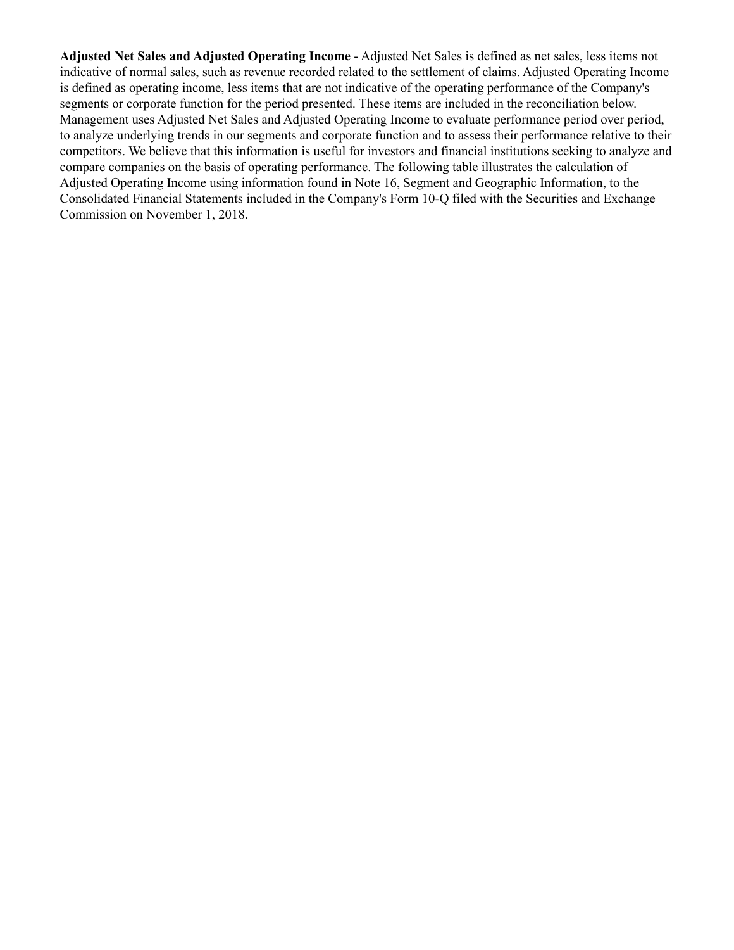**Adjusted Net Sales and Adjusted Operating Income** - Adjusted Net Sales is defined as net sales, less items not indicative of normal sales, such as revenue recorded related to the settlement of claims. Adjusted Operating Income is defined as operating income, less items that are not indicative of the operating performance of the Company's segments or corporate function for the period presented. These items are included in the reconciliation below. Management uses Adjusted Net Sales and Adjusted Operating Income to evaluate performance period over period, to analyze underlying trends in our segments and corporate function and to assess their performance relative to their competitors. We believe that this information is useful for investors and financial institutions seeking to analyze and compare companies on the basis of operating performance. The following table illustrates the calculation of Adjusted Operating Income using information found in Note 16, Segment and Geographic Information, to the Consolidated Financial Statements included in the Company's Form 10-Q filed with the Securities and Exchange Commission on November 1, 2018.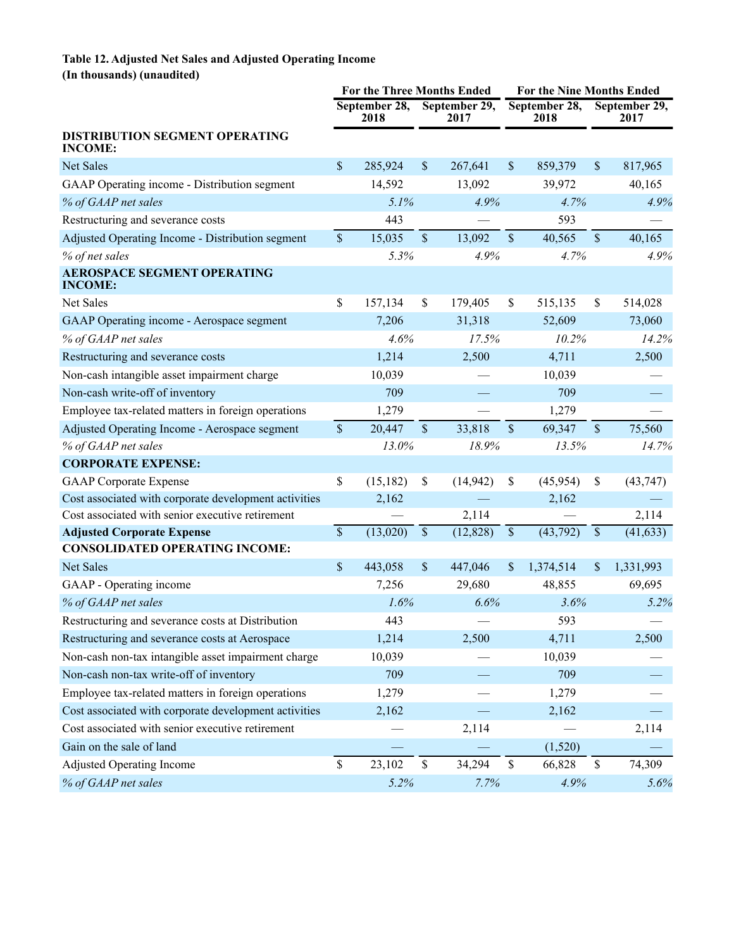## **Table 12. Adjusted Net Sales and Adjusted Operating Income (In thousands) (unaudited)**

|                                                       | <b>For the Three Months Ended</b> |                       |             |                       | For the Nine Months Ended |                       |               |                       |
|-------------------------------------------------------|-----------------------------------|-----------------------|-------------|-----------------------|---------------------------|-----------------------|---------------|-----------------------|
|                                                       |                                   | September 28,<br>2018 |             | September 29,<br>2017 |                           | September 28,<br>2018 |               | September 29,<br>2017 |
| DISTRIBUTION SEGMENT OPERATING<br><b>INCOME:</b>      |                                   |                       |             |                       |                           |                       |               |                       |
| Net Sales                                             | \$                                | 285,924               | \$          | 267,641               | $\boldsymbol{\mathsf{S}}$ | 859,379               | \$            | 817,965               |
| GAAP Operating income - Distribution segment          |                                   | 14,592                |             | 13,092                |                           | 39,972                |               | 40,165                |
| % of GAAP net sales                                   |                                   | 5.1%                  |             | 4.9%                  |                           | 4.7%                  |               | 4.9%                  |
| Restructuring and severance costs                     |                                   | 443                   |             |                       |                           | 593                   |               |                       |
| Adjusted Operating Income - Distribution segment      | $\sqrt{\ }$                       | 15,035                | $\sqrt{\ }$ | 13,092                | $\sqrt{\ }$               | 40,565                | $\mathcal{S}$ | 40,165                |
| % of net sales                                        |                                   | 5.3%                  |             | 4.9%                  |                           | 4.7%                  |               | 4.9%                  |
| <b>AEROSPACE SEGMENT OPERATING</b><br><b>INCOME:</b>  |                                   |                       |             |                       |                           |                       |               |                       |
| Net Sales                                             | \$                                | 157,134               | \$          | 179,405               | \$                        | 515,135               | \$            | 514,028               |
| GAAP Operating income - Aerospace segment             |                                   | 7,206                 |             | 31,318                |                           | 52,609                |               | 73,060                |
| % of GAAP net sales                                   |                                   | 4.6%                  |             | 17.5%                 |                           | 10.2%                 |               | 14.2%                 |
| Restructuring and severance costs                     |                                   | 1,214                 |             | 2,500                 |                           | 4,711                 |               | 2,500                 |
| Non-cash intangible asset impairment charge           |                                   | 10,039                |             |                       |                           | 10,039                |               |                       |
| Non-cash write-off of inventory                       |                                   | 709                   |             |                       |                           | 709                   |               |                       |
| Employee tax-related matters in foreign operations    |                                   | 1,279                 |             |                       |                           | 1,279                 |               |                       |
| Adjusted Operating Income - Aerospace segment         | $\sqrt{\ }$                       | 20,447                | $\sqrt{\ }$ | 33,818                | $\sqrt{\ }$               | 69,347                | $\sqrt{\ }$   | 75,560                |
| % of GAAP net sales                                   |                                   | 13.0%                 |             | 18.9%                 |                           | 13.5%                 |               | 14.7%                 |
| <b>CORPORATE EXPENSE:</b>                             |                                   |                       |             |                       |                           |                       |               |                       |
| <b>GAAP</b> Corporate Expense                         | \$                                | (15, 182)             | \$          | (14, 942)             | \$                        | (45, 954)             | \$            | (43, 747)             |
| Cost associated with corporate development activities |                                   | 2,162                 |             |                       |                           | 2,162                 |               |                       |
| Cost associated with senior executive retirement      |                                   |                       |             | 2,114                 |                           |                       |               | 2,114                 |
| <b>Adjusted Corporate Expense</b>                     | $\overline{\mathcal{S}}$          | (13,020)              | $\mathbb S$ | (12, 828)             | $\mathbb S$               | (43,792)              | $\$$          | (41, 633)             |
| <b>CONSOLIDATED OPERATING INCOME:</b>                 |                                   |                       |             |                       |                           |                       |               |                       |
| <b>Net Sales</b>                                      | $\mathsf{\$}$                     | 443,058               | \$          | 447,046               | $\boldsymbol{\mathsf{S}}$ | 1,374,514             | \$            | 1,331,993             |
| GAAP - Operating income                               |                                   | 7,256                 |             | 29,680                |                           | 48,855                |               | 69,695                |
| % of GAAP net sales                                   |                                   | 1.6%                  |             | 6.6%                  |                           | 3.6%                  |               | 5.2%                  |
| Restructuring and severance costs at Distribution     |                                   | 443                   |             |                       |                           | 593                   |               |                       |
| Restructuring and severance costs at Aerospace        |                                   | 1,214                 |             | 2,500                 |                           | 4,711                 |               | 2,500                 |
| Non-cash non-tax intangible asset impairment charge   |                                   | 10,039                |             |                       |                           | 10,039                |               |                       |
| Non-cash non-tax write-off of inventory               |                                   | 709                   |             |                       |                           | 709                   |               |                       |
| Employee tax-related matters in foreign operations    |                                   | 1,279                 |             |                       |                           | 1,279                 |               |                       |
| Cost associated with corporate development activities |                                   | 2,162                 |             |                       |                           | 2,162                 |               |                       |
| Cost associated with senior executive retirement      |                                   |                       |             | 2,114                 |                           |                       |               | 2,114                 |
| Gain on the sale of land                              |                                   |                       |             |                       |                           | (1,520)               |               |                       |
| <b>Adjusted Operating Income</b>                      | $\$$                              | 23,102                | \$          | 34,294                | \$                        | 66,828                | \$            | 74,309                |
| % of GAAP net sales                                   |                                   | 5.2%                  |             | 7.7%                  |                           | 4.9%                  |               | 5.6%                  |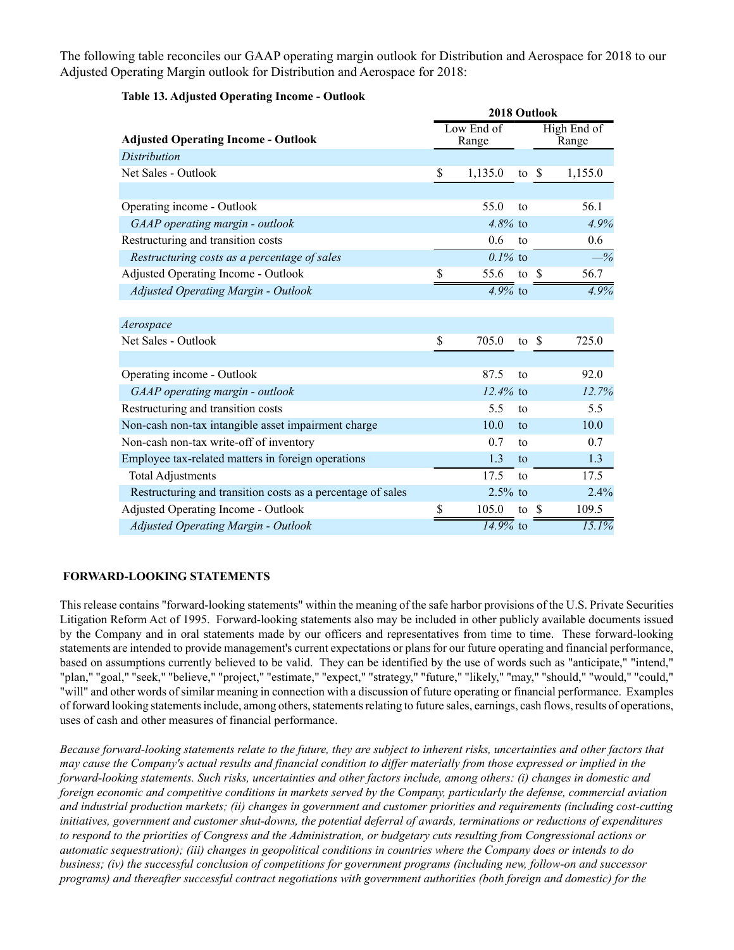The following table reconciles our GAAP operating margin outlook for Distribution and Aerospace for 2018 to our Adjusted Operating Margin outlook for Distribution and Aerospace for 2018:

|                                                             | 2018 Outlook |                    |               |  |                |  |  |
|-------------------------------------------------------------|--------------|--------------------|---------------|--|----------------|--|--|
| <b>Adjusted Operating Income - Outlook</b>                  |              | Low End of         |               |  | High End of    |  |  |
|                                                             |              | Range              |               |  | Range          |  |  |
| <b>Distribution</b>                                         |              |                    |               |  |                |  |  |
| Net Sales - Outlook                                         | \$           | 1,135.0            | to $\sqrt{s}$ |  | 1,155.0        |  |  |
|                                                             |              |                    |               |  |                |  |  |
| Operating income - Outlook                                  |              | 55.0               | to            |  | 56.1           |  |  |
| GAAP operating margin - outlook                             |              | $4.8\%$ to         |               |  | 4.9%           |  |  |
| Restructuring and transition costs                          |              | 0.6                | to            |  | 0.6            |  |  |
| Restructuring costs as a percentage of sales                |              | $0.1\%$ to         |               |  | $-\frac{9}{6}$ |  |  |
| Adjusted Operating Income - Outlook                         | S            | 55.6               | to \$         |  | 56.7           |  |  |
| <b>Adjusted Operating Margin - Outlook</b>                  |              | $4.9\%$ to         |               |  | 4.9%           |  |  |
|                                                             |              |                    |               |  |                |  |  |
| Aerospace                                                   |              |                    |               |  |                |  |  |
| Net Sales - Outlook                                         | \$           | 705.0              | to $\sqrt{s}$ |  | 725.0          |  |  |
|                                                             |              |                    |               |  |                |  |  |
| Operating income - Outlook                                  |              | 87.5               | to            |  | 92.0           |  |  |
| GAAP operating margin - outlook                             |              | $12.4\%$ to        |               |  | 12.7%          |  |  |
| Restructuring and transition costs                          |              | 5.5                | to            |  | 5.5            |  |  |
| Non-cash non-tax intangible asset impairment charge         |              | 10.0               | to            |  | 10.0           |  |  |
| Non-cash non-tax write-off of inventory                     |              | 0.7                | to            |  | 0.7            |  |  |
| Employee tax-related matters in foreign operations          |              | 1.3                | to            |  | 1.3            |  |  |
| <b>Total Adjustments</b>                                    |              | 17.5               | to            |  | 17.5           |  |  |
| Restructuring and transition costs as a percentage of sales |              | $2.5%$ to          |               |  | 2.4%           |  |  |
| Adjusted Operating Income - Outlook                         | \$           | 105.0              | to \$         |  | 109.5          |  |  |
| <b>Adjusted Operating Margin - Outlook</b>                  |              | $\sqrt{14.9\%}$ to |               |  | 15.1%          |  |  |

**Table 13. Adjusted Operating Income - Outlook**

#### **FORWARD-LOOKING STATEMENTS**

This release contains "forward-looking statements" within the meaning of the safe harbor provisions of the U.S. Private Securities Litigation Reform Act of 1995. Forward-looking statements also may be included in other publicly available documents issued by the Company and in oral statements made by our officers and representatives from time to time. These forward-looking statements are intended to provide management's current expectations or plans for our future operating and financial performance, based on assumptions currently believed to be valid. They can be identified by the use of words such as "anticipate," "intend," "plan," "goal," "seek," "believe," "project," "estimate," "expect," "strategy," "future," "likely," "may," "should," "would," "could," "will" and other words of similar meaning in connection with a discussion of future operating or financial performance. Examples of forward looking statements include, among others, statements relating to future sales, earnings, cash flows, results of operations, uses of cash and other measures of financial performance.

*Because forward-looking statements relate to the future, they are subject to inherent risks, uncertainties and other factors that may cause the Company's actual results and financial condition to differ materially from those expressed or implied in the forward-looking statements. Such risks, uncertainties and other factors include, among others: (i) changes in domestic and foreign economic and competitive conditions in markets served by the Company, particularly the defense, commercial aviation and industrial production markets; (ii) changes in government and customer priorities and requirements (including cost-cutting initiatives, government and customer shut-downs, the potential deferral of awards, terminations or reductions of expenditures to respond to the priorities of Congress and the Administration, or budgetary cuts resulting from Congressional actions or automatic sequestration); (iii) changes in geopolitical conditions in countries where the Company does or intends to do business; (iv) the successful conclusion of competitions for government programs (including new, follow-on and successor programs) and thereafter successful contract negotiations with government authorities (both foreign and domestic) for the*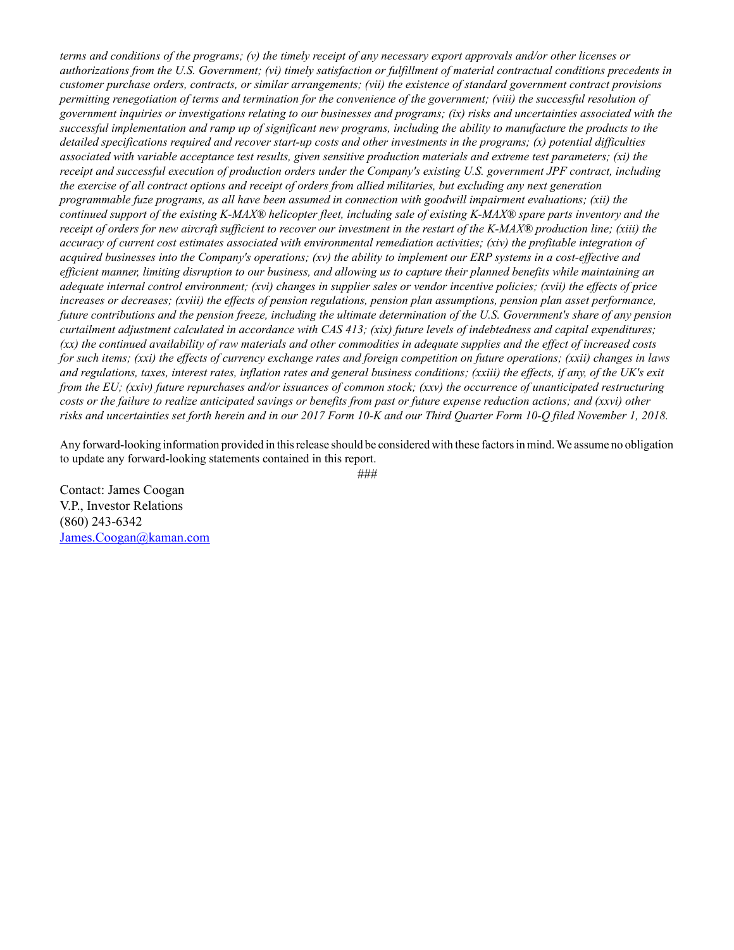*terms and conditions of the programs; (v) the timely receipt of any necessary export approvals and/or other licenses or authorizations from the U.S. Government; (vi) timely satisfaction or fulfillment of material contractual conditions precedents in customer purchase orders, contracts, or similar arrangements; (vii) the existence of standard government contract provisions permitting renegotiation of terms and termination for the convenience of the government; (viii) the successful resolution of government inquiries or investigations relating to our businesses and programs; (ix) risks and uncertainties associated with the successful implementation and ramp up of significant new programs, including the ability to manufacture the products to the detailed specifications required and recover start-up costs and other investments in the programs; (x) potential difficulties associated with variable acceptance test results, given sensitive production materials and extreme test parameters; (xi) the receipt and successful execution of production orders under the Company's existing U.S. government JPF contract, including the exercise of all contract options and receipt of orders from allied militaries, but excluding any next generation programmable fuze programs, as all have been assumed in connection with goodwill impairment evaluations; (xii) the continued support of the existing K-MAX® helicopter fleet, including sale of existing K-MAX® spare parts inventory and the receipt of orders for new aircraft sufficient to recover our investment in the restart of the K-MAX® production line; (xiii) the accuracy of current cost estimates associated with environmental remediation activities; (xiv) the profitable integration of acquired businesses into the Company's operations; (xv) the ability to implement our ERP systems in a cost-effective and efficient manner, limiting disruption to our business, and allowing us to capture their planned benefits while maintaining an adequate internal control environment; (xvi) changes in supplier sales or vendor incentive policies; (xvii) the effects of price increases or decreases; (xviii) the effects of pension regulations, pension plan assumptions, pension plan asset performance, future contributions and the pension freeze, including the ultimate determination of the U.S. Government's share of any pension curtailment adjustment calculated in accordance with CAS 413; (xix) future levels of indebtedness and capital expenditures; (xx) the continued availability of raw materials and other commodities in adequate supplies and the effect of increased costs for such items; (xxi) the effects of currency exchange rates and foreign competition on future operations; (xxii) changes in laws and regulations, taxes, interest rates, inflation rates and general business conditions; (xxiii) the effects, if any, of the UK's exit from the EU; (xxiv) future repurchases and/or issuances of common stock; (xxv) the occurrence of unanticipated restructuring costs or the failure to realize anticipated savings or benefits from past or future expense reduction actions; and (xxvi) other risks and uncertainties set forth herein and in our 2017 Form 10-K and our Third Quarter Form 10-Q filed November 1, 2018.*

Any forward-looking information provided in this release should be considered with these factors in mind. We assume no obligation to update any forward-looking statements contained in this report.

*###*

Contact: James Coogan V.P., Investor Relations (860) 243-6342 James.Coogan@kaman.com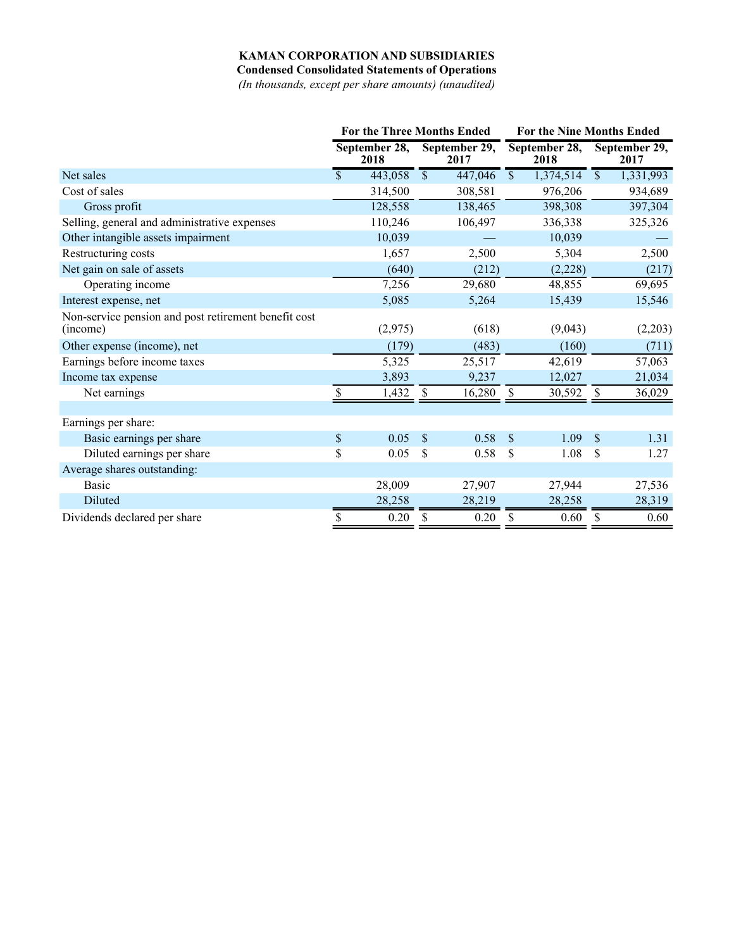## **KAMAN CORPORATION AND SUBSIDIARIES**

**Condensed Consolidated Statements of Operations**

*(In thousands, except per share amounts) (unaudited)*

|                                                                  | <b>For the Three Months Ended</b> |                       |                          | <b>For the Nine Months Ended</b> |                           |           |                          |                        |
|------------------------------------------------------------------|-----------------------------------|-----------------------|--------------------------|----------------------------------|---------------------------|-----------|--------------------------|------------------------|
|                                                                  |                                   | September 28,<br>2018 | September 29,<br>2017    |                                  | September 28,<br>2018     |           | September 29,<br>2017    |                        |
| Net sales                                                        | \$                                | 443,058               | $\overline{\mathcal{S}}$ | 447,046                          | $\mathsf{\$}$             | 1,374,514 | $\overline{\mathcal{S}}$ | $\overline{1,331,993}$ |
| Cost of sales                                                    |                                   | 314,500               |                          | 308,581                          |                           | 976,206   |                          | 934,689                |
| Gross profit                                                     |                                   | 128,558               |                          | 138,465                          |                           | 398,308   |                          | 397,304                |
| Selling, general and administrative expenses                     |                                   | 110,246               |                          | 106,497                          |                           | 336,338   |                          | 325,326                |
| Other intangible assets impairment                               |                                   | 10,039                |                          |                                  |                           | 10,039    |                          |                        |
| Restructuring costs                                              |                                   | 1,657                 |                          | 2,500                            |                           | 5,304     |                          | 2,500                  |
| Net gain on sale of assets                                       |                                   | (640)                 |                          | (212)                            |                           | (2,228)   |                          | (217)                  |
| Operating income                                                 |                                   | 7,256                 |                          | 29,680                           |                           | 48,855    |                          | 69,695                 |
| Interest expense, net                                            |                                   | 5,085                 |                          | 5,264                            |                           | 15,439    |                          | 15,546                 |
| Non-service pension and post retirement benefit cost<br>(income) |                                   | (2,975)               |                          | (618)                            |                           | (9,043)   |                          | (2,203)                |
| Other expense (income), net                                      |                                   | (179)                 |                          | (483)                            |                           | (160)     |                          | (711)                  |
| Earnings before income taxes                                     |                                   | 5,325                 |                          | 25,517                           |                           | 42,619    |                          | 57,063                 |
| Income tax expense                                               |                                   | 3,893                 |                          | 9,237                            |                           | 12,027    |                          | 21,034                 |
| Net earnings                                                     | \$                                | 1,432                 | \$                       | 16,280                           | \$                        | 30,592    | \$                       | 36,029                 |
| Earnings per share:                                              |                                   |                       |                          |                                  |                           |           |                          |                        |
| Basic earnings per share                                         | $\mathbb S$                       | 0.05                  | \$                       | 0.58                             | $\boldsymbol{\mathsf{S}}$ | 1.09      | $\sqrt{\frac{1}{2}}$     | 1.31                   |
| Diluted earnings per share                                       | \$                                | 0.05                  | S                        | 0.58                             | \$                        | 1.08      | \$                       | 1.27                   |
| Average shares outstanding:                                      |                                   |                       |                          |                                  |                           |           |                          |                        |
| <b>Basic</b>                                                     |                                   | 28,009                |                          | 27,907                           |                           | 27,944    |                          | 27,536                 |
| Diluted                                                          |                                   | 28,258                |                          | 28,219                           |                           | 28,258    |                          | 28,319                 |
| Dividends declared per share                                     | \$                                | 0.20                  | \$                       | 0.20                             | \$                        | 0.60      | \$                       | 0.60                   |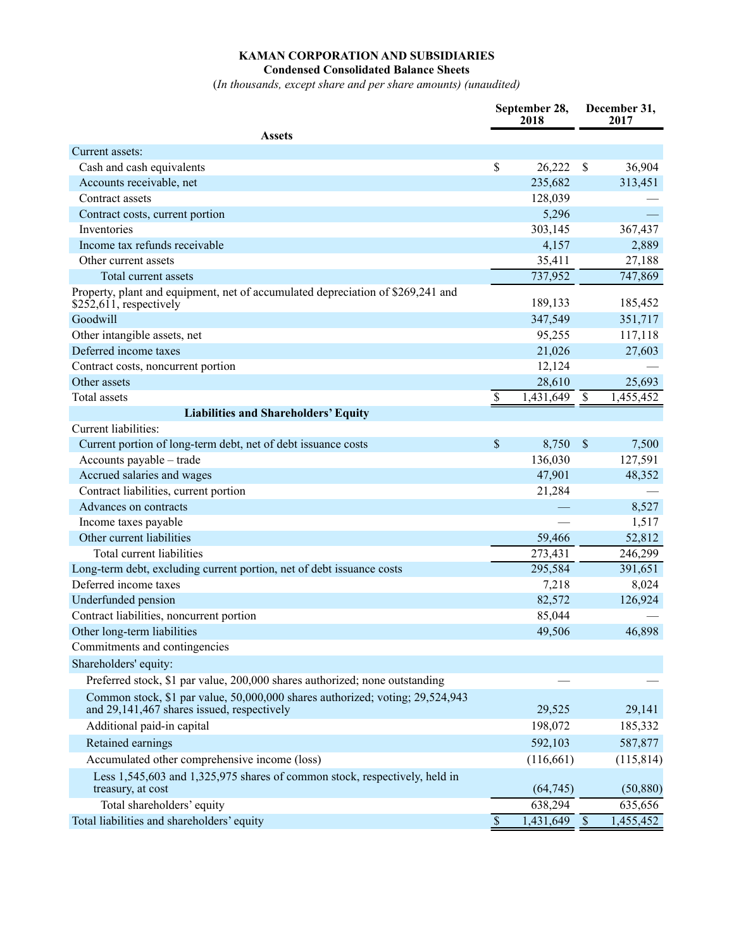## **KAMAN CORPORATION AND SUBSIDIARIES Condensed Consolidated Balance Sheets**

(*In thousands, except share and per share amounts) (unaudited)*

| <b>Assets</b><br>Current assets:<br>$\boldsymbol{\mathsf{S}}$<br>36,904<br>Cash and cash equivalents<br>26,222<br>\$<br>235,682<br>313,451<br>Accounts receivable, net<br>Contract assets<br>128,039<br>5,296<br>Contract costs, current portion<br>Inventories<br>303,145<br>367,437<br>Income tax refunds receivable<br>4,157<br>2,889<br>Other current assets<br>35,411<br>27,188<br>737,952<br>747,869<br>Total current assets<br>Property, plant and equipment, net of accumulated depreciation of \$269,241 and<br>189,133<br>\$252,611, respectively<br>185,452<br>Goodwill<br>347,549<br>351,717<br>Other intangible assets, net<br>95,255<br>117,118<br>Deferred income taxes<br>21,026<br>27,603<br>12,124<br>Contract costs, noncurrent portion<br>Other assets<br>28,610<br>25,693<br>1,431,649<br>Total assets<br>\$<br>\$<br>1,455,452<br><b>Liabilities and Shareholders' Equity</b><br>Current liabilities:<br>\$<br>8,750<br>$\mathcal{S}$<br>Current portion of long-term debt, net of debt issuance costs<br>7,500<br>Accounts payable - trade<br>136,030<br>127,591<br>Accrued salaries and wages<br>47,901<br>48,352<br>Contract liabilities, current portion<br>21,284<br>Advances on contracts<br>8,527<br>1,517<br>Income taxes payable<br>Other current liabilities<br>52,812<br>59,466<br>Total current liabilities<br>273,431<br>246,299<br>Long-term debt, excluding current portion, net of debt issuance costs<br>295,584<br>391,651<br>Deferred income taxes<br>7,218<br>8,024<br>Underfunded pension<br>82,572<br>126,924<br>Contract liabilities, noncurrent portion<br>85,044<br>Other long-term liabilities<br>49,506<br>46,898<br>Commitments and contingencies<br>Shareholders' equity:<br>Preferred stock, \$1 par value, 200,000 shares authorized; none outstanding<br>Common stock, \$1 par value, 50,000,000 shares authorized; voting; 29,524,943<br>and 29,141,467 shares issued, respectively<br>29,525<br>29,141 | September 28,<br>2018 |  | December 31,<br>2017 |  |  |
|----------------------------------------------------------------------------------------------------------------------------------------------------------------------------------------------------------------------------------------------------------------------------------------------------------------------------------------------------------------------------------------------------------------------------------------------------------------------------------------------------------------------------------------------------------------------------------------------------------------------------------------------------------------------------------------------------------------------------------------------------------------------------------------------------------------------------------------------------------------------------------------------------------------------------------------------------------------------------------------------------------------------------------------------------------------------------------------------------------------------------------------------------------------------------------------------------------------------------------------------------------------------------------------------------------------------------------------------------------------------------------------------------------------------------------------------------------------------------------------------------------------------------------------------------------------------------------------------------------------------------------------------------------------------------------------------------------------------------------------------------------------------------------------------------------------------------------------------------------------------------------------------------------------------------------------------------------------|-----------------------|--|----------------------|--|--|
|                                                                                                                                                                                                                                                                                                                                                                                                                                                                                                                                                                                                                                                                                                                                                                                                                                                                                                                                                                                                                                                                                                                                                                                                                                                                                                                                                                                                                                                                                                                                                                                                                                                                                                                                                                                                                                                                                                                                                                |                       |  |                      |  |  |
|                                                                                                                                                                                                                                                                                                                                                                                                                                                                                                                                                                                                                                                                                                                                                                                                                                                                                                                                                                                                                                                                                                                                                                                                                                                                                                                                                                                                                                                                                                                                                                                                                                                                                                                                                                                                                                                                                                                                                                |                       |  |                      |  |  |
|                                                                                                                                                                                                                                                                                                                                                                                                                                                                                                                                                                                                                                                                                                                                                                                                                                                                                                                                                                                                                                                                                                                                                                                                                                                                                                                                                                                                                                                                                                                                                                                                                                                                                                                                                                                                                                                                                                                                                                |                       |  |                      |  |  |
|                                                                                                                                                                                                                                                                                                                                                                                                                                                                                                                                                                                                                                                                                                                                                                                                                                                                                                                                                                                                                                                                                                                                                                                                                                                                                                                                                                                                                                                                                                                                                                                                                                                                                                                                                                                                                                                                                                                                                                |                       |  |                      |  |  |
|                                                                                                                                                                                                                                                                                                                                                                                                                                                                                                                                                                                                                                                                                                                                                                                                                                                                                                                                                                                                                                                                                                                                                                                                                                                                                                                                                                                                                                                                                                                                                                                                                                                                                                                                                                                                                                                                                                                                                                |                       |  |                      |  |  |
|                                                                                                                                                                                                                                                                                                                                                                                                                                                                                                                                                                                                                                                                                                                                                                                                                                                                                                                                                                                                                                                                                                                                                                                                                                                                                                                                                                                                                                                                                                                                                                                                                                                                                                                                                                                                                                                                                                                                                                |                       |  |                      |  |  |
|                                                                                                                                                                                                                                                                                                                                                                                                                                                                                                                                                                                                                                                                                                                                                                                                                                                                                                                                                                                                                                                                                                                                                                                                                                                                                                                                                                                                                                                                                                                                                                                                                                                                                                                                                                                                                                                                                                                                                                |                       |  |                      |  |  |
|                                                                                                                                                                                                                                                                                                                                                                                                                                                                                                                                                                                                                                                                                                                                                                                                                                                                                                                                                                                                                                                                                                                                                                                                                                                                                                                                                                                                                                                                                                                                                                                                                                                                                                                                                                                                                                                                                                                                                                |                       |  |                      |  |  |
|                                                                                                                                                                                                                                                                                                                                                                                                                                                                                                                                                                                                                                                                                                                                                                                                                                                                                                                                                                                                                                                                                                                                                                                                                                                                                                                                                                                                                                                                                                                                                                                                                                                                                                                                                                                                                                                                                                                                                                |                       |  |                      |  |  |
|                                                                                                                                                                                                                                                                                                                                                                                                                                                                                                                                                                                                                                                                                                                                                                                                                                                                                                                                                                                                                                                                                                                                                                                                                                                                                                                                                                                                                                                                                                                                                                                                                                                                                                                                                                                                                                                                                                                                                                |                       |  |                      |  |  |
|                                                                                                                                                                                                                                                                                                                                                                                                                                                                                                                                                                                                                                                                                                                                                                                                                                                                                                                                                                                                                                                                                                                                                                                                                                                                                                                                                                                                                                                                                                                                                                                                                                                                                                                                                                                                                                                                                                                                                                |                       |  |                      |  |  |
|                                                                                                                                                                                                                                                                                                                                                                                                                                                                                                                                                                                                                                                                                                                                                                                                                                                                                                                                                                                                                                                                                                                                                                                                                                                                                                                                                                                                                                                                                                                                                                                                                                                                                                                                                                                                                                                                                                                                                                |                       |  |                      |  |  |
|                                                                                                                                                                                                                                                                                                                                                                                                                                                                                                                                                                                                                                                                                                                                                                                                                                                                                                                                                                                                                                                                                                                                                                                                                                                                                                                                                                                                                                                                                                                                                                                                                                                                                                                                                                                                                                                                                                                                                                |                       |  |                      |  |  |
|                                                                                                                                                                                                                                                                                                                                                                                                                                                                                                                                                                                                                                                                                                                                                                                                                                                                                                                                                                                                                                                                                                                                                                                                                                                                                                                                                                                                                                                                                                                                                                                                                                                                                                                                                                                                                                                                                                                                                                |                       |  |                      |  |  |
|                                                                                                                                                                                                                                                                                                                                                                                                                                                                                                                                                                                                                                                                                                                                                                                                                                                                                                                                                                                                                                                                                                                                                                                                                                                                                                                                                                                                                                                                                                                                                                                                                                                                                                                                                                                                                                                                                                                                                                |                       |  |                      |  |  |
|                                                                                                                                                                                                                                                                                                                                                                                                                                                                                                                                                                                                                                                                                                                                                                                                                                                                                                                                                                                                                                                                                                                                                                                                                                                                                                                                                                                                                                                                                                                                                                                                                                                                                                                                                                                                                                                                                                                                                                |                       |  |                      |  |  |
|                                                                                                                                                                                                                                                                                                                                                                                                                                                                                                                                                                                                                                                                                                                                                                                                                                                                                                                                                                                                                                                                                                                                                                                                                                                                                                                                                                                                                                                                                                                                                                                                                                                                                                                                                                                                                                                                                                                                                                |                       |  |                      |  |  |
|                                                                                                                                                                                                                                                                                                                                                                                                                                                                                                                                                                                                                                                                                                                                                                                                                                                                                                                                                                                                                                                                                                                                                                                                                                                                                                                                                                                                                                                                                                                                                                                                                                                                                                                                                                                                                                                                                                                                                                |                       |  |                      |  |  |
|                                                                                                                                                                                                                                                                                                                                                                                                                                                                                                                                                                                                                                                                                                                                                                                                                                                                                                                                                                                                                                                                                                                                                                                                                                                                                                                                                                                                                                                                                                                                                                                                                                                                                                                                                                                                                                                                                                                                                                |                       |  |                      |  |  |
|                                                                                                                                                                                                                                                                                                                                                                                                                                                                                                                                                                                                                                                                                                                                                                                                                                                                                                                                                                                                                                                                                                                                                                                                                                                                                                                                                                                                                                                                                                                                                                                                                                                                                                                                                                                                                                                                                                                                                                |                       |  |                      |  |  |
|                                                                                                                                                                                                                                                                                                                                                                                                                                                                                                                                                                                                                                                                                                                                                                                                                                                                                                                                                                                                                                                                                                                                                                                                                                                                                                                                                                                                                                                                                                                                                                                                                                                                                                                                                                                                                                                                                                                                                                |                       |  |                      |  |  |
|                                                                                                                                                                                                                                                                                                                                                                                                                                                                                                                                                                                                                                                                                                                                                                                                                                                                                                                                                                                                                                                                                                                                                                                                                                                                                                                                                                                                                                                                                                                                                                                                                                                                                                                                                                                                                                                                                                                                                                |                       |  |                      |  |  |
|                                                                                                                                                                                                                                                                                                                                                                                                                                                                                                                                                                                                                                                                                                                                                                                                                                                                                                                                                                                                                                                                                                                                                                                                                                                                                                                                                                                                                                                                                                                                                                                                                                                                                                                                                                                                                                                                                                                                                                |                       |  |                      |  |  |
|                                                                                                                                                                                                                                                                                                                                                                                                                                                                                                                                                                                                                                                                                                                                                                                                                                                                                                                                                                                                                                                                                                                                                                                                                                                                                                                                                                                                                                                                                                                                                                                                                                                                                                                                                                                                                                                                                                                                                                |                       |  |                      |  |  |
|                                                                                                                                                                                                                                                                                                                                                                                                                                                                                                                                                                                                                                                                                                                                                                                                                                                                                                                                                                                                                                                                                                                                                                                                                                                                                                                                                                                                                                                                                                                                                                                                                                                                                                                                                                                                                                                                                                                                                                |                       |  |                      |  |  |
|                                                                                                                                                                                                                                                                                                                                                                                                                                                                                                                                                                                                                                                                                                                                                                                                                                                                                                                                                                                                                                                                                                                                                                                                                                                                                                                                                                                                                                                                                                                                                                                                                                                                                                                                                                                                                                                                                                                                                                |                       |  |                      |  |  |
|                                                                                                                                                                                                                                                                                                                                                                                                                                                                                                                                                                                                                                                                                                                                                                                                                                                                                                                                                                                                                                                                                                                                                                                                                                                                                                                                                                                                                                                                                                                                                                                                                                                                                                                                                                                                                                                                                                                                                                |                       |  |                      |  |  |
|                                                                                                                                                                                                                                                                                                                                                                                                                                                                                                                                                                                                                                                                                                                                                                                                                                                                                                                                                                                                                                                                                                                                                                                                                                                                                                                                                                                                                                                                                                                                                                                                                                                                                                                                                                                                                                                                                                                                                                |                       |  |                      |  |  |
|                                                                                                                                                                                                                                                                                                                                                                                                                                                                                                                                                                                                                                                                                                                                                                                                                                                                                                                                                                                                                                                                                                                                                                                                                                                                                                                                                                                                                                                                                                                                                                                                                                                                                                                                                                                                                                                                                                                                                                |                       |  |                      |  |  |
|                                                                                                                                                                                                                                                                                                                                                                                                                                                                                                                                                                                                                                                                                                                                                                                                                                                                                                                                                                                                                                                                                                                                                                                                                                                                                                                                                                                                                                                                                                                                                                                                                                                                                                                                                                                                                                                                                                                                                                |                       |  |                      |  |  |
|                                                                                                                                                                                                                                                                                                                                                                                                                                                                                                                                                                                                                                                                                                                                                                                                                                                                                                                                                                                                                                                                                                                                                                                                                                                                                                                                                                                                                                                                                                                                                                                                                                                                                                                                                                                                                                                                                                                                                                |                       |  |                      |  |  |
|                                                                                                                                                                                                                                                                                                                                                                                                                                                                                                                                                                                                                                                                                                                                                                                                                                                                                                                                                                                                                                                                                                                                                                                                                                                                                                                                                                                                                                                                                                                                                                                                                                                                                                                                                                                                                                                                                                                                                                |                       |  |                      |  |  |
|                                                                                                                                                                                                                                                                                                                                                                                                                                                                                                                                                                                                                                                                                                                                                                                                                                                                                                                                                                                                                                                                                                                                                                                                                                                                                                                                                                                                                                                                                                                                                                                                                                                                                                                                                                                                                                                                                                                                                                |                       |  |                      |  |  |
|                                                                                                                                                                                                                                                                                                                                                                                                                                                                                                                                                                                                                                                                                                                                                                                                                                                                                                                                                                                                                                                                                                                                                                                                                                                                                                                                                                                                                                                                                                                                                                                                                                                                                                                                                                                                                                                                                                                                                                |                       |  |                      |  |  |
|                                                                                                                                                                                                                                                                                                                                                                                                                                                                                                                                                                                                                                                                                                                                                                                                                                                                                                                                                                                                                                                                                                                                                                                                                                                                                                                                                                                                                                                                                                                                                                                                                                                                                                                                                                                                                                                                                                                                                                |                       |  |                      |  |  |
|                                                                                                                                                                                                                                                                                                                                                                                                                                                                                                                                                                                                                                                                                                                                                                                                                                                                                                                                                                                                                                                                                                                                                                                                                                                                                                                                                                                                                                                                                                                                                                                                                                                                                                                                                                                                                                                                                                                                                                |                       |  |                      |  |  |
| Additional paid-in capital<br>198,072<br>185,332                                                                                                                                                                                                                                                                                                                                                                                                                                                                                                                                                                                                                                                                                                                                                                                                                                                                                                                                                                                                                                                                                                                                                                                                                                                                                                                                                                                                                                                                                                                                                                                                                                                                                                                                                                                                                                                                                                               |                       |  |                      |  |  |
| Retained earnings<br>592,103<br>587,877                                                                                                                                                                                                                                                                                                                                                                                                                                                                                                                                                                                                                                                                                                                                                                                                                                                                                                                                                                                                                                                                                                                                                                                                                                                                                                                                                                                                                                                                                                                                                                                                                                                                                                                                                                                                                                                                                                                        |                       |  |                      |  |  |
| Accumulated other comprehensive income (loss)<br>(116, 661)<br>(115, 814)                                                                                                                                                                                                                                                                                                                                                                                                                                                                                                                                                                                                                                                                                                                                                                                                                                                                                                                                                                                                                                                                                                                                                                                                                                                                                                                                                                                                                                                                                                                                                                                                                                                                                                                                                                                                                                                                                      |                       |  |                      |  |  |
| Less 1,545,603 and 1,325,975 shares of common stock, respectively, held in<br>(64, 745)<br>(50, 880)<br>treasury, at cost                                                                                                                                                                                                                                                                                                                                                                                                                                                                                                                                                                                                                                                                                                                                                                                                                                                                                                                                                                                                                                                                                                                                                                                                                                                                                                                                                                                                                                                                                                                                                                                                                                                                                                                                                                                                                                      |                       |  |                      |  |  |
| Total shareholders' equity<br>638,294<br>635,656                                                                                                                                                                                                                                                                                                                                                                                                                                                                                                                                                                                                                                                                                                                                                                                                                                                                                                                                                                                                                                                                                                                                                                                                                                                                                                                                                                                                                                                                                                                                                                                                                                                                                                                                                                                                                                                                                                               |                       |  |                      |  |  |
| $\mathcal{S}$<br>Total liabilities and shareholders' equity<br>1,431,649<br>$\boldsymbol{\mathsf{S}}$<br>1,455,452                                                                                                                                                                                                                                                                                                                                                                                                                                                                                                                                                                                                                                                                                                                                                                                                                                                                                                                                                                                                                                                                                                                                                                                                                                                                                                                                                                                                                                                                                                                                                                                                                                                                                                                                                                                                                                             |                       |  |                      |  |  |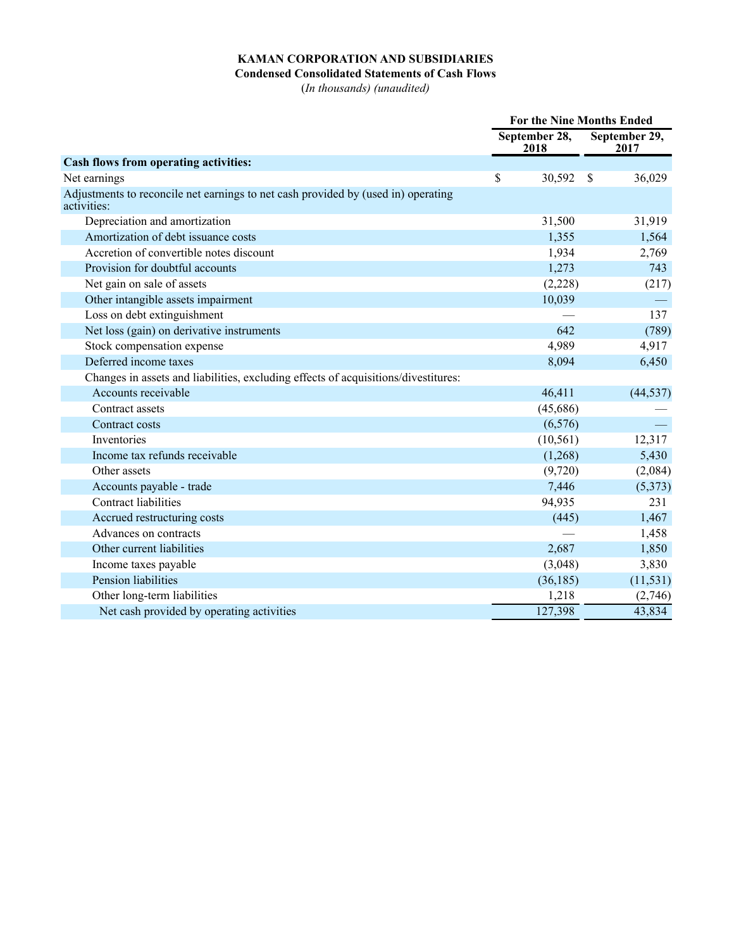## **KAMAN CORPORATION AND SUBSIDIARIES**

## **Condensed Consolidated Statements of Cash Flows**

(*In thousands) (unaudited)*

|                                                                                                  | <b>For the Nine Months Ended</b> |                       |               |                       |  |
|--------------------------------------------------------------------------------------------------|----------------------------------|-----------------------|---------------|-----------------------|--|
|                                                                                                  |                                  | September 28,<br>2018 |               | September 29,<br>2017 |  |
| <b>Cash flows from operating activities:</b>                                                     |                                  |                       |               |                       |  |
| Net earnings                                                                                     | \$                               | 30,592                | <sup>\$</sup> | 36,029                |  |
| Adjustments to reconcile net earnings to net cash provided by (used in) operating<br>activities: |                                  |                       |               |                       |  |
| Depreciation and amortization                                                                    |                                  | 31,500                |               | 31,919                |  |
| Amortization of debt issuance costs                                                              |                                  | 1,355                 |               | 1,564                 |  |
| Accretion of convertible notes discount                                                          |                                  | 1,934                 |               | 2,769                 |  |
| Provision for doubtful accounts                                                                  |                                  | 1,273                 |               | 743                   |  |
| Net gain on sale of assets                                                                       |                                  | (2,228)               |               | (217)                 |  |
| Other intangible assets impairment                                                               |                                  | 10,039                |               |                       |  |
| Loss on debt extinguishment                                                                      |                                  |                       |               | 137                   |  |
| Net loss (gain) on derivative instruments                                                        |                                  | 642                   |               | (789)                 |  |
| Stock compensation expense                                                                       |                                  | 4,989                 |               | 4,917                 |  |
| Deferred income taxes                                                                            |                                  | 8,094                 |               | 6,450                 |  |
| Changes in assets and liabilities, excluding effects of acquisitions/divestitures:               |                                  |                       |               |                       |  |
| Accounts receivable                                                                              |                                  | 46,411                |               | (44, 537)             |  |
| Contract assets                                                                                  |                                  | (45,686)              |               |                       |  |
| Contract costs                                                                                   |                                  | (6, 576)              |               |                       |  |
| Inventories                                                                                      |                                  | (10, 561)             |               | 12,317                |  |
| Income tax refunds receivable                                                                    |                                  | (1,268)               |               | 5,430                 |  |
| Other assets                                                                                     |                                  | (9,720)               |               | (2,084)               |  |
| Accounts payable - trade                                                                         |                                  | 7,446                 |               | (5,373)               |  |
| <b>Contract liabilities</b>                                                                      |                                  | 94,935                |               | 231                   |  |
| Accrued restructuring costs                                                                      |                                  | (445)                 |               | 1,467                 |  |
| Advances on contracts                                                                            |                                  |                       |               | 1,458                 |  |
| Other current liabilities                                                                        |                                  | 2,687                 |               | 1,850                 |  |
| Income taxes payable                                                                             |                                  | (3,048)               |               | 3,830                 |  |
| Pension liabilities                                                                              |                                  | (36, 185)             |               | (11, 531)             |  |
| Other long-term liabilities                                                                      |                                  | 1,218                 |               | (2,746)               |  |
| Net cash provided by operating activities                                                        |                                  | 127,398               |               | 43,834                |  |